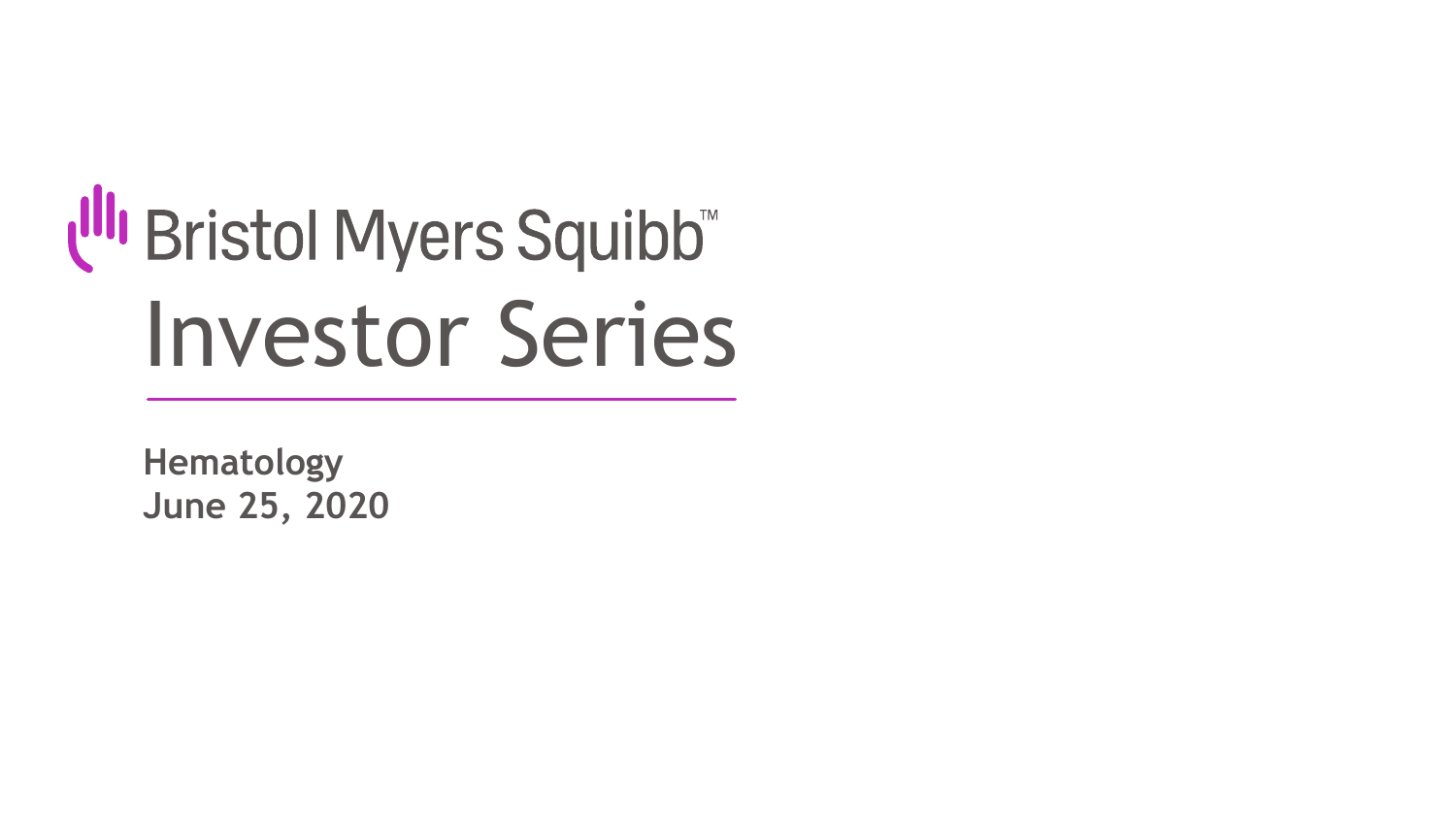# t<sup>III</sup>I Bristol Myers Squibb™ Investor Series

**Hematology June 25, 2020**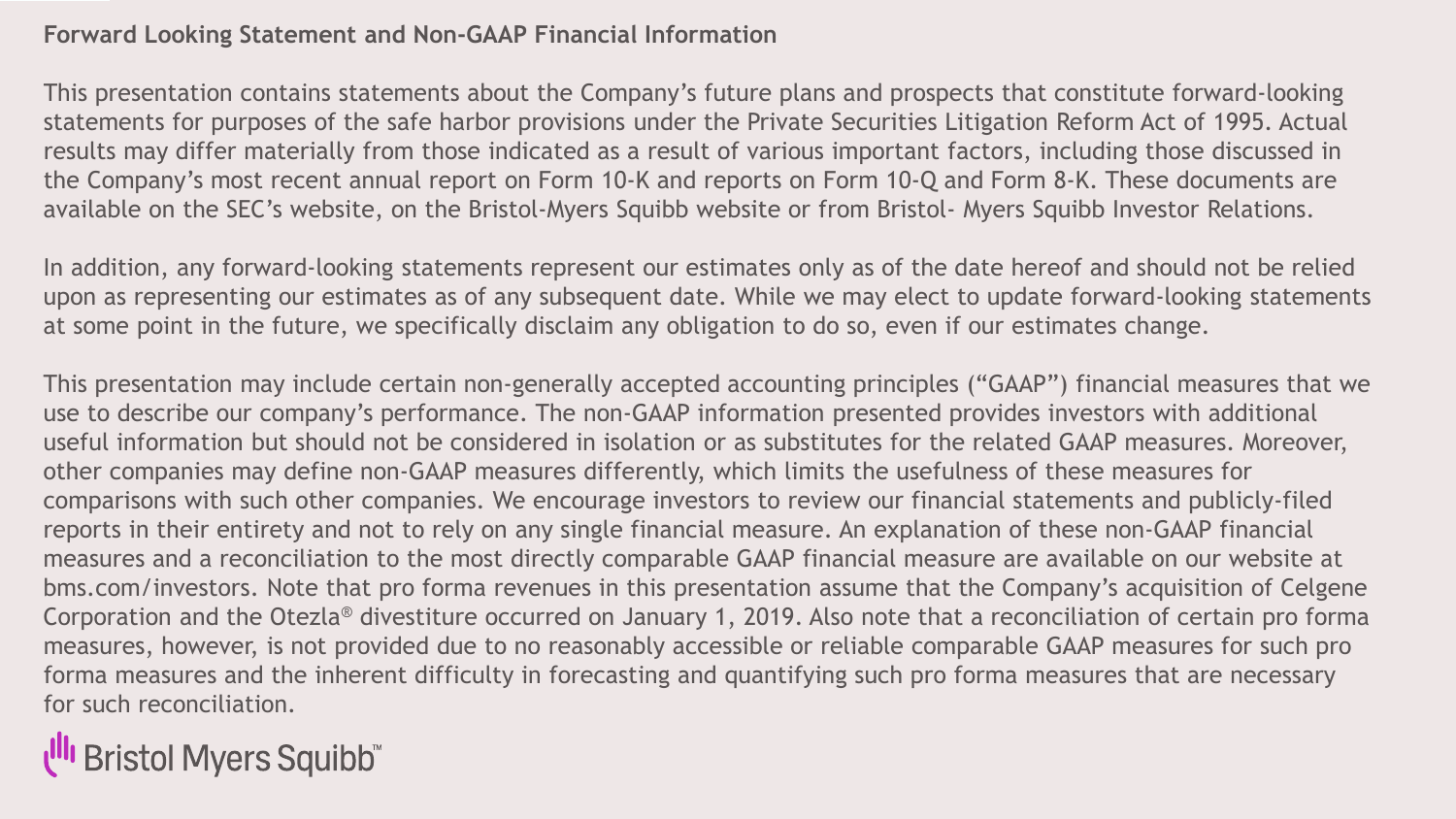#### **Forward Looking Statement and Non-GAAP Financial Information**

This presentation contains statements about the Company's future plans and prospects that constitute forward-looking statements for purposes of the safe harbor provisions under the Private Securities Litigation Reform Act of 1995. Actual results may differ materially from those indicated as a result of various important factors, including those discussed in the Company's most recent annual report on Form 10-K and reports on Form 10-Q and Form 8-K. These documents are available on the SEC's website, on the Bristol-Myers Squibb website or from Bristol- Myers Squibb Investor Relations.

In addition, any forward-looking statements represent our estimates only as of the date hereof and should not be relied upon as representing our estimates as of any subsequent date. While we may elect to update forward-looking statements at some point in the future, we specifically disclaim any obligation to do so, even if our estimates change.

This presentation may include certain non-generally accepted accounting principles ("GAAP") financial measures that we use to describe our company's performance. The non-GAAP information presented provides investors with additional useful information but should not be considered in isolation or as substitutes for the related GAAP measures. Moreover, other companies may define non-GAAP measures differently, which limits the usefulness of these measures for comparisons with such other companies. We encourage investors to review our financial statements and publicly-filed reports in their entirety and not to rely on any single financial measure. An explanation of these non-GAAP financial measures and a reconciliation to the most directly comparable GAAP financial measure are available on our website at bms.com/investors. Note that pro forma revenues in this presentation assume that the Company's acquisition of Celgene Corporation and the Otezla® divestiture occurred on January 1, 2019. Also note that a reconciliation of certain pro forma measures, however, is not provided due to no reasonably accessible or reliable comparable GAAP measures for such pro forma measures and the inherent difficulty in forecasting and quantifying such pro forma measures that are necessary for such reconciliation.

**I<sup>II</sup>I** Bristol Myers Squibb<sup>\*\*</sup>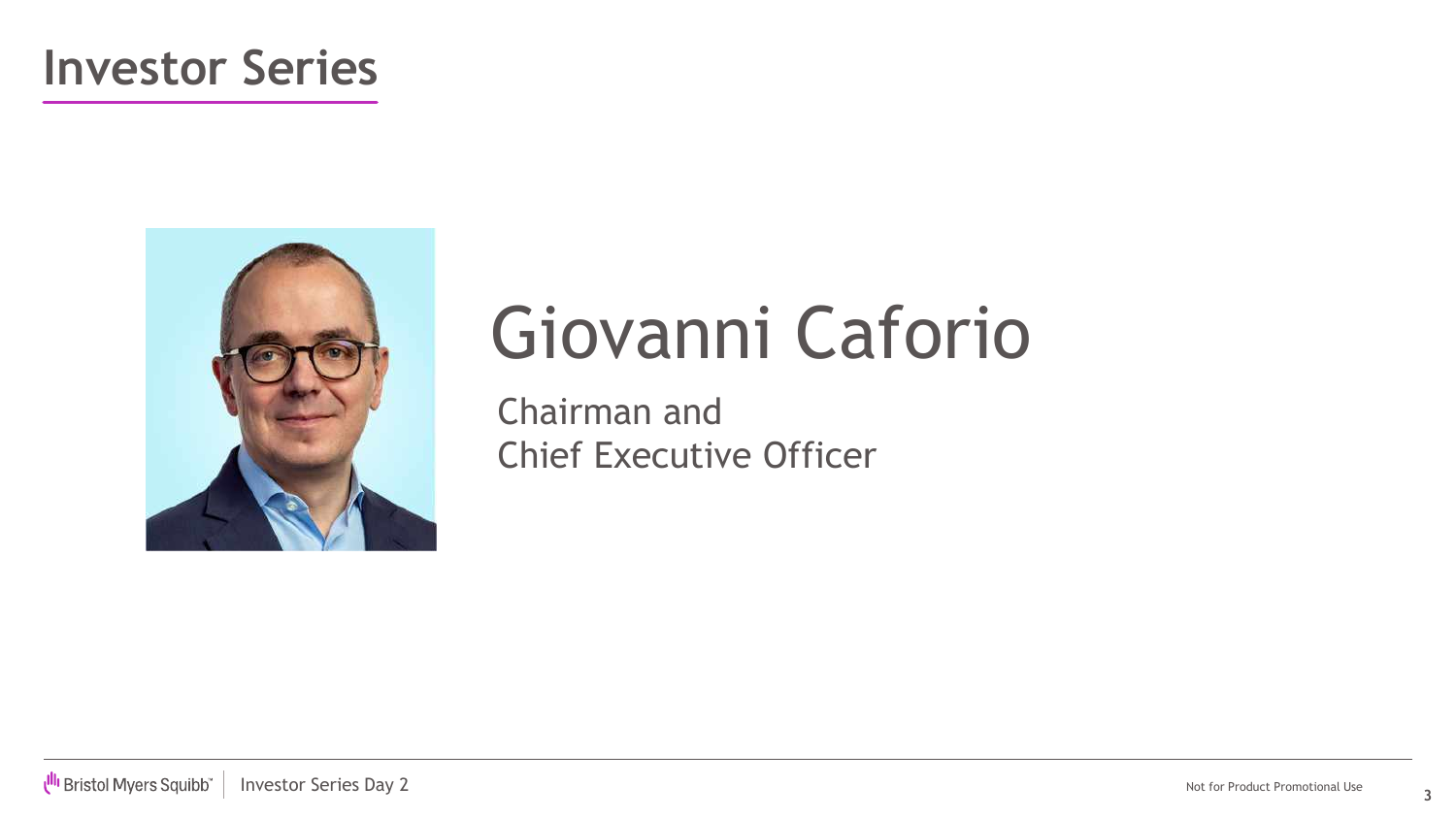### **Investor Series**



# Giovanni Caforio

Chairman and Chief Executive Officer

**3**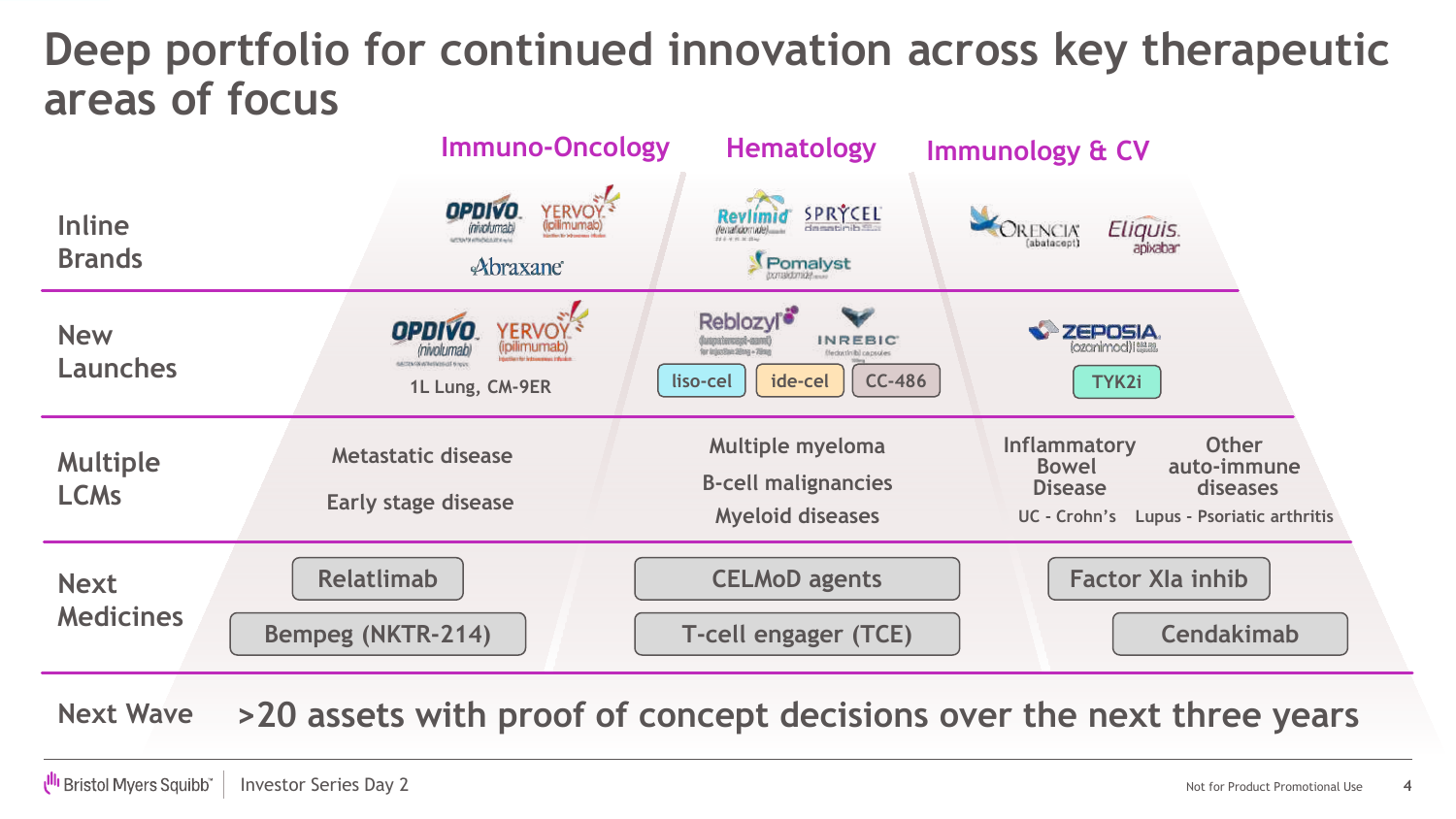### **Deep portfolio for continued innovation across key therapeutic areas of focus**

|                                 | <b>Immuno-Oncology</b>                                                                            | <b>Hematology</b>                                                                                                                        | <b>Immunology &amp; CV</b>                                                                                                                   |
|---------------------------------|---------------------------------------------------------------------------------------------------|------------------------------------------------------------------------------------------------------------------------------------------|----------------------------------------------------------------------------------------------------------------------------------------------|
| <b>Inline</b><br><b>Brands</b>  | YERVOY <sup>5</sup><br>OPDIVO.<br><i>involumable</i><br><b>UTRATA UTENSIA UTA ALL</b><br>Abraxane | SPRÝCEL<br>Pomalyst                                                                                                                      | Eliquis.<br>RENCIA<br>abatacept)                                                                                                             |
| <b>New</b><br><b>Launches</b>   | <b>OPDIVO</b><br><b>YERVOY</b><br>inivolumat<br>MCDW00WWWW0000E6hock<br>1L Lung, CM-9ER           | Reblozyl <sup>®</sup><br><b>INREBIC</b><br>for Industries String - 70mm<br>(fedpirinib) capsules<br><b>CC-486</b><br>ide-cel<br>liso-cel | <b>ZEPOSIA</b><br>lozanimod) i esam<br>TYK2i                                                                                                 |
| <b>Multiple</b><br><b>LCMs</b>  | Metastatic disease<br><b>Early stage disease</b>                                                  | <b>Multiple myeloma</b><br><b>B-cell malignancies</b><br><b>Myeloid diseases</b>                                                         | <b>Other</b><br><b>Inflammatory</b><br>auto-immune<br><b>Bowel</b><br>diseases<br><b>Disease</b><br>UC - Crohn's Lupus - Psoriatic arthritis |
| <b>Next</b><br><b>Medicines</b> | <b>Relatlimab</b><br><b>Bempeg (NKTR-214)</b>                                                     | <b>CELMoD agents</b><br>T-cell engager (TCE)                                                                                             | <b>Factor XIa inhib</b><br><b>Cendakimab</b>                                                                                                 |

**Next Wave >20 assets with proof of concept decisions over the next three years**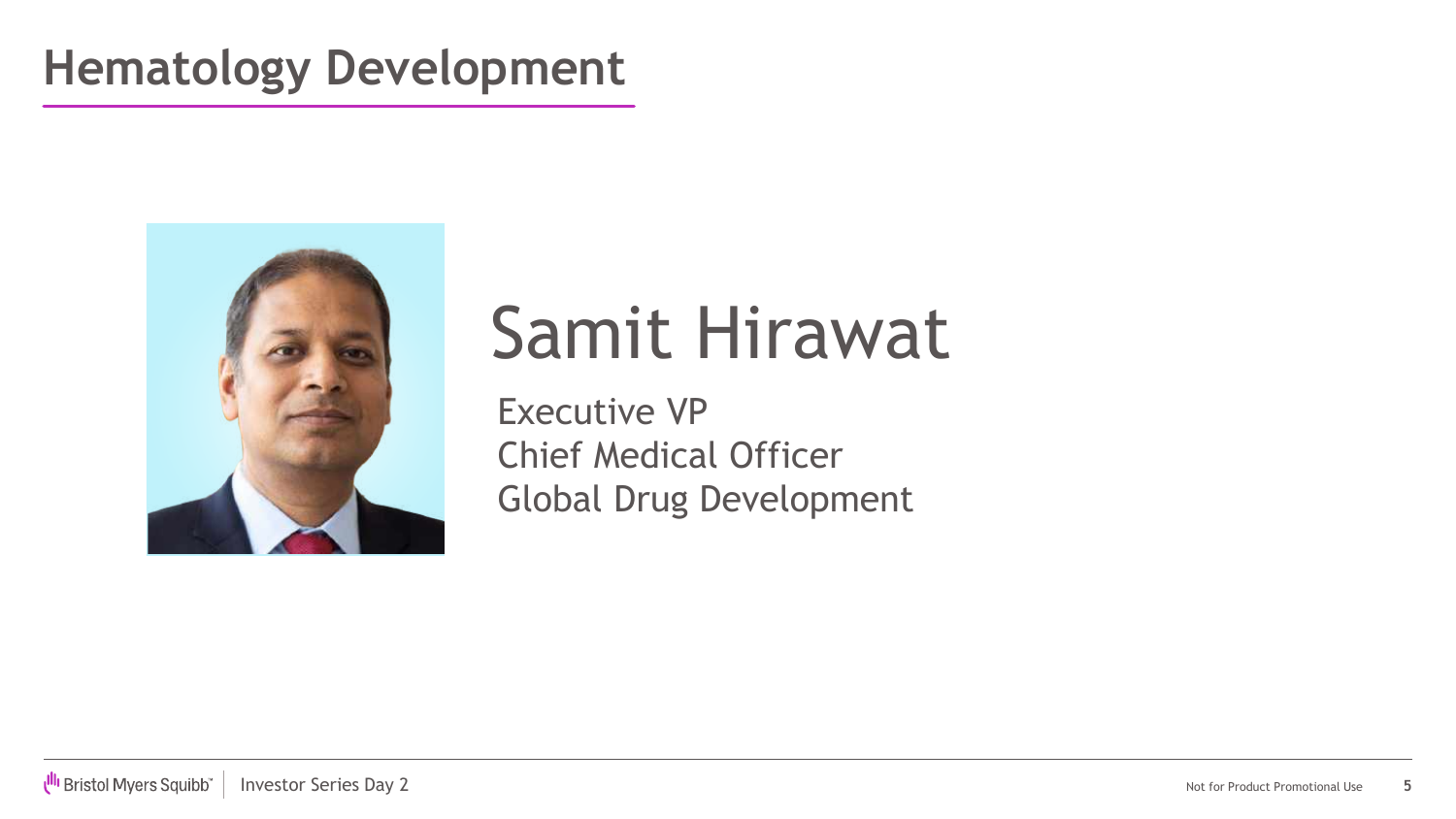### **Hematology Development**



# Samit Hirawat

Executive VP Chief Medical Officer Global Drug Development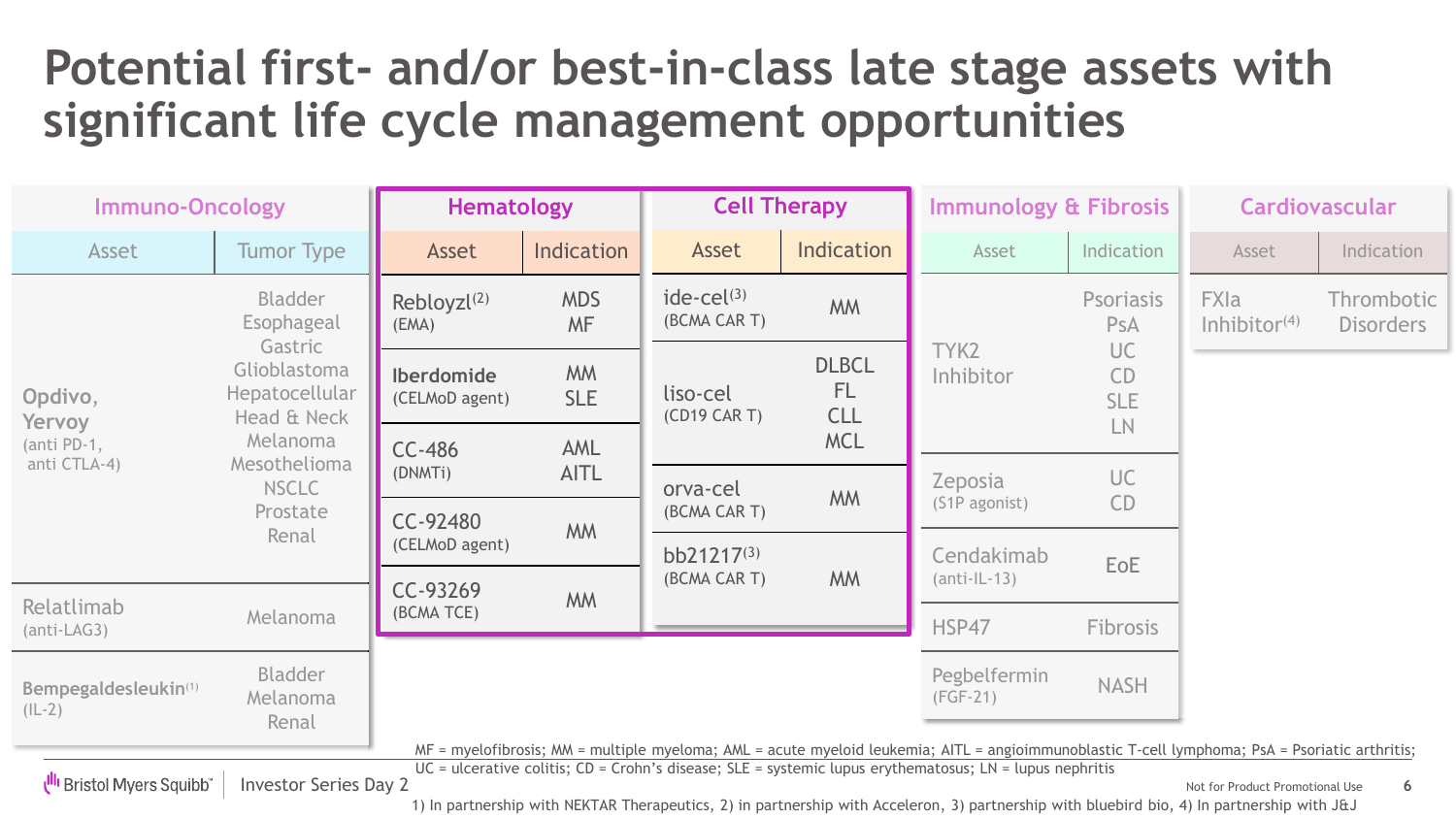### **Potential first- and/or best-in-class late stage assets with significant life cycle management opportunities**

| <b>Immuno-Oncology</b>                                                                                                                                                                                                                                                                                                                                                       |                                                                                                                                                           | <b>Cell Therapy</b><br><b>Hematology</b>                                                                                                                              |                         | <b>Immunology &amp; Fibrosis</b>      |                                         | <b>Cardiovascular</b>                                                                      |             |                                |                                |
|------------------------------------------------------------------------------------------------------------------------------------------------------------------------------------------------------------------------------------------------------------------------------------------------------------------------------------------------------------------------------|-----------------------------------------------------------------------------------------------------------------------------------------------------------|-----------------------------------------------------------------------------------------------------------------------------------------------------------------------|-------------------------|---------------------------------------|-----------------------------------------|--------------------------------------------------------------------------------------------|-------------|--------------------------------|--------------------------------|
| Asset                                                                                                                                                                                                                                                                                                                                                                        | <b>Tumor Type</b>                                                                                                                                         | Asset                                                                                                                                                                 | Indication              | Asset                                 | Indication                              | Asset                                                                                      | Indication  | Asset                          | Indication                     |
| Opdivo,<br>Yervoy                                                                                                                                                                                                                                                                                                                                                            | <b>Bladder</b><br>Esophageal<br>Gastric<br>Glioblastoma<br>Hepatocellular<br>Head & Neck<br>Melanoma<br>Mesothelioma<br><b>NSCLC</b><br>Prostate<br>Renal | Rebloyz $(2)$<br>(EMA)                                                                                                                                                | <b>MDS</b><br><b>MF</b> | ide-ce $\binom{3}{2}$<br>(BCMA CAR T) | <b>MM</b>                               | Psoriasis<br><b>PsA</b><br>TYK2<br><b>UC</b><br>Inhibitor<br><b>CD</b><br><b>SLE</b><br>LN |             | <b>FXIa</b><br>Inhibitor $(4)$ | Thrombotic<br><b>Disorders</b> |
|                                                                                                                                                                                                                                                                                                                                                                              |                                                                                                                                                           | <b>Iberdomide</b><br>(CELMoD agent)                                                                                                                                   | <b>MM</b><br><b>SLE</b> | liso-cel<br>(CD19 CAR T)              | <b>DLBCL</b><br><b>FL</b><br><b>CLL</b> |                                                                                            |             |                                |                                |
| (anti PD-1,<br>anti CTLA-4)                                                                                                                                                                                                                                                                                                                                                  |                                                                                                                                                           | <b>MCL</b><br><b>AML</b><br>$CC-486$<br><b>AITL</b><br>(DNMTi)<br>orva-cel<br><b>MM</b><br>(BCMA CAR T)<br>CC-92480<br><b>MM</b><br>(CELMoD agent)<br>$bb21217^{(3)}$ |                         |                                       |                                         |                                                                                            |             |                                |                                |
|                                                                                                                                                                                                                                                                                                                                                                              |                                                                                                                                                           |                                                                                                                                                                       |                         |                                       |                                         | <b>Zeposia</b><br>(S1P agonist)                                                            | UC<br>CD    |                                |                                |
|                                                                                                                                                                                                                                                                                                                                                                              |                                                                                                                                                           |                                                                                                                                                                       |                         |                                       |                                         | Cendakimab                                                                                 |             |                                |                                |
|                                                                                                                                                                                                                                                                                                                                                                              |                                                                                                                                                           | CC-93269<br><b>MM</b>                                                                                                                                                 | (BCMA CAR T)            | <b>MM</b>                             | $(anti-IL-13)$                          | EoE                                                                                        |             |                                |                                |
| Relatlimab<br>$(anti-LAG3)$                                                                                                                                                                                                                                                                                                                                                  | (BCMA TCE)<br>Melanoma                                                                                                                                    |                                                                                                                                                                       |                         | HSP47                                 | <b>Fibrosis</b>                         |                                                                                            |             |                                |                                |
| Bempegaldesleukin(1)<br>$(IL-2)$                                                                                                                                                                                                                                                                                                                                             | <b>Bladder</b><br>Melanoma<br>Renal                                                                                                                       |                                                                                                                                                                       |                         |                                       |                                         | Pegbelfermin<br>$(FGF-21)$                                                                 | <b>NASH</b> |                                |                                |
| MF = myelofibrosis; MM = multiple myeloma; AML = acute myeloid leukemia; AITL = angioimmunoblastic T-cell lymphoma; PsA = Psoriatic arthritis;<br>$UC =$ ulcerative colitis; $CD =$ Crohn's disease; $SLE =$ systemic lupus erythematosus; $LN =$ lupus nephritis<br><b>UII</b> Bristol Myers Squibb<br><b>Investor Series Day 2</b><br>Not for Product Promotional Use<br>6 |                                                                                                                                                           |                                                                                                                                                                       |                         |                                       |                                         |                                                                                            |             |                                |                                |

1) In partnership with NEKTAR Therapeutics, 2) in partnership with Acceleron, 3) partnership with bluebird bio, 4) In partnership with J&J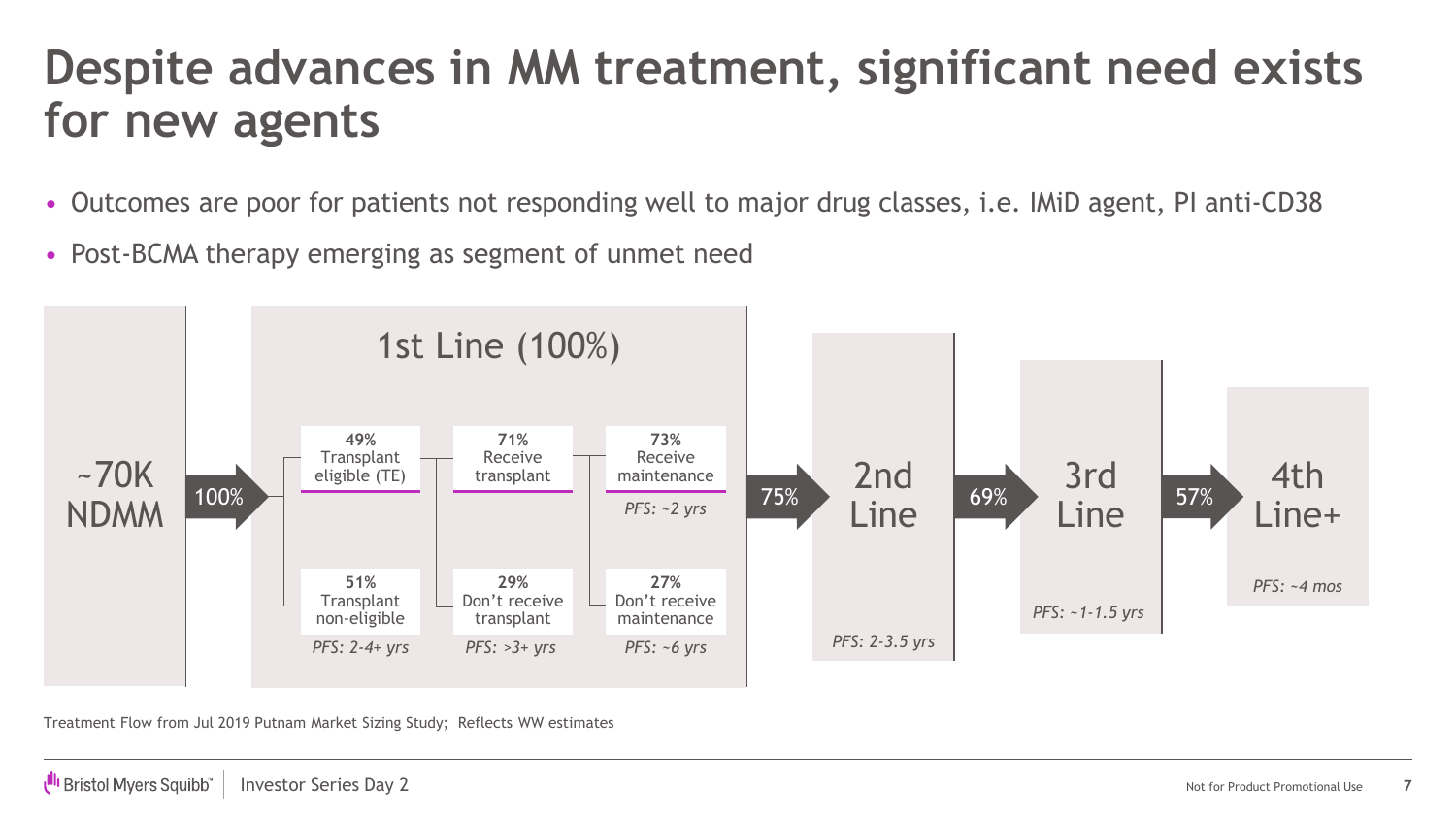### **Despite advances in MM treatment, significant need exists for new agents**

- Outcomes are poor for patients not responding well to major drug classes, i.e. IMiD agent, PI anti-CD38
- Post-BCMA therapy emerging as segment of unmet need



Treatment Flow from Jul 2019 Putnam Market Sizing Study; Reflects WW estimates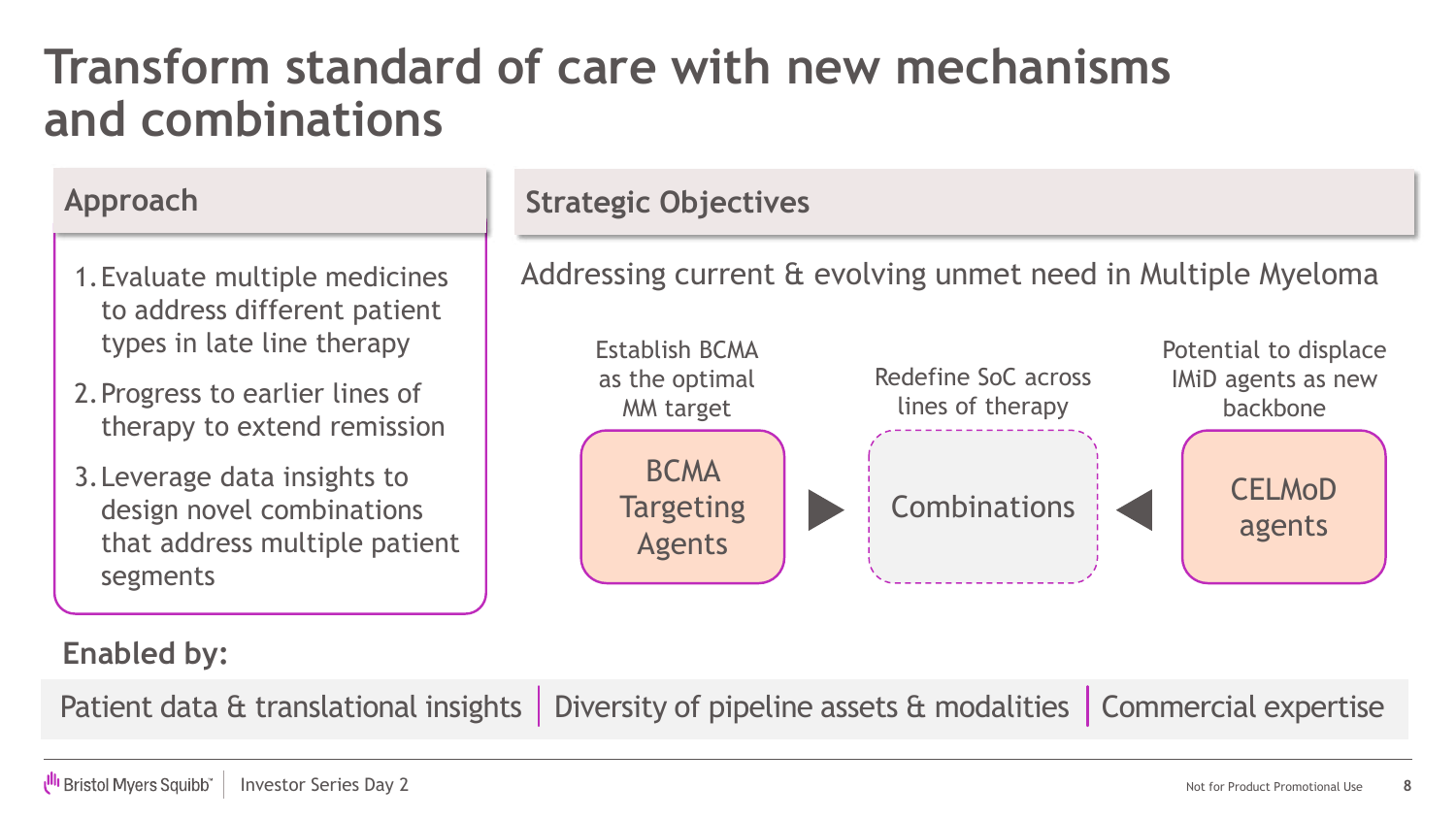### **Transform standard of care with new mechanisms and combinations**

- 1.Evaluate multiple medicines to address different patient types in late line therapy
- 2.Progress to earlier lines of therapy to extend remission
- 3.Leverage data insights to design novel combinations that address multiple patient segments

#### Approach Strategic Objectives

Addressing current & evolving unmet need in Multiple Myeloma



#### **Enabled by:**

Patient data & translational insights | Diversity of pipeline assets & modalities | Commercial expertise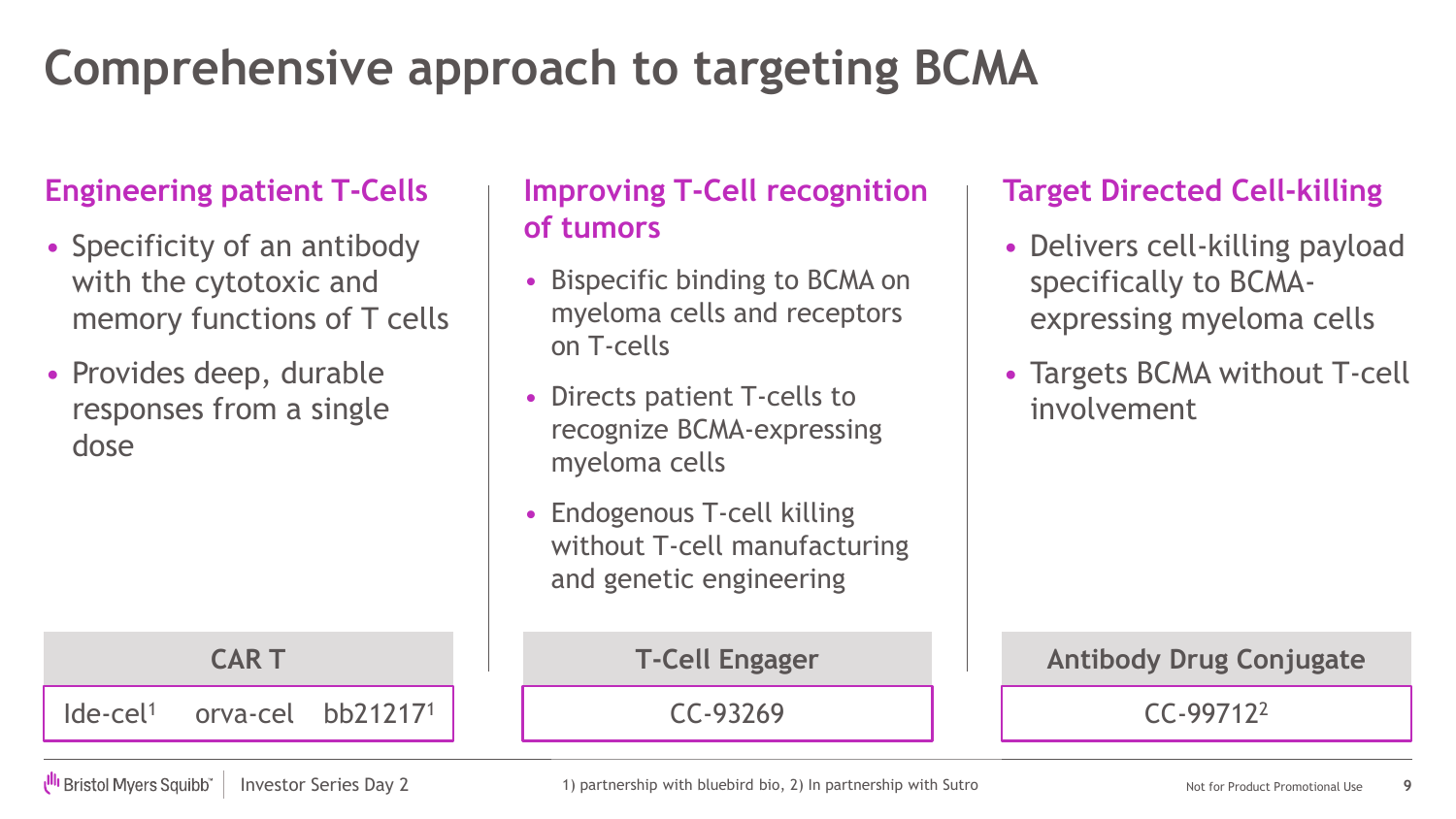### **Comprehensive approach to targeting BCMA**

**CAR T T-Cell Engager** 

#### **Engineering patient T-Cells**

- Specificity of an antibody with the cytotoxic and memory functions of T cells
- Provides deep, durable responses from a single dose

#### **Improving T-Cell recognition of tumors**

- Bispecific binding to BCMA on myeloma cells and receptors on T-cells
- Directs patient T-cells to recognize BCMA-expressing myeloma cells
- Endogenous T-cell killing without T-cell manufacturing and genetic engineering

### **Target Directed Cell-killing**

- Delivers cell-killing payload specifically to BCMAexpressing myeloma cells
- Targets BCMA without T-cell involvement

Ide-cel<sup>1</sup> orva-cel bb21217<sup>1</sup> | CC-93269 | CC-99712<sup>2</sup>

UII Bristol Myers Squibb

Investor Series Day 2 **Notice 20 Anomal 2018** 1) partnership with bluebird bio, 2) In partnership with Sutro **Not anomal 2018** Not for Product Promotional Use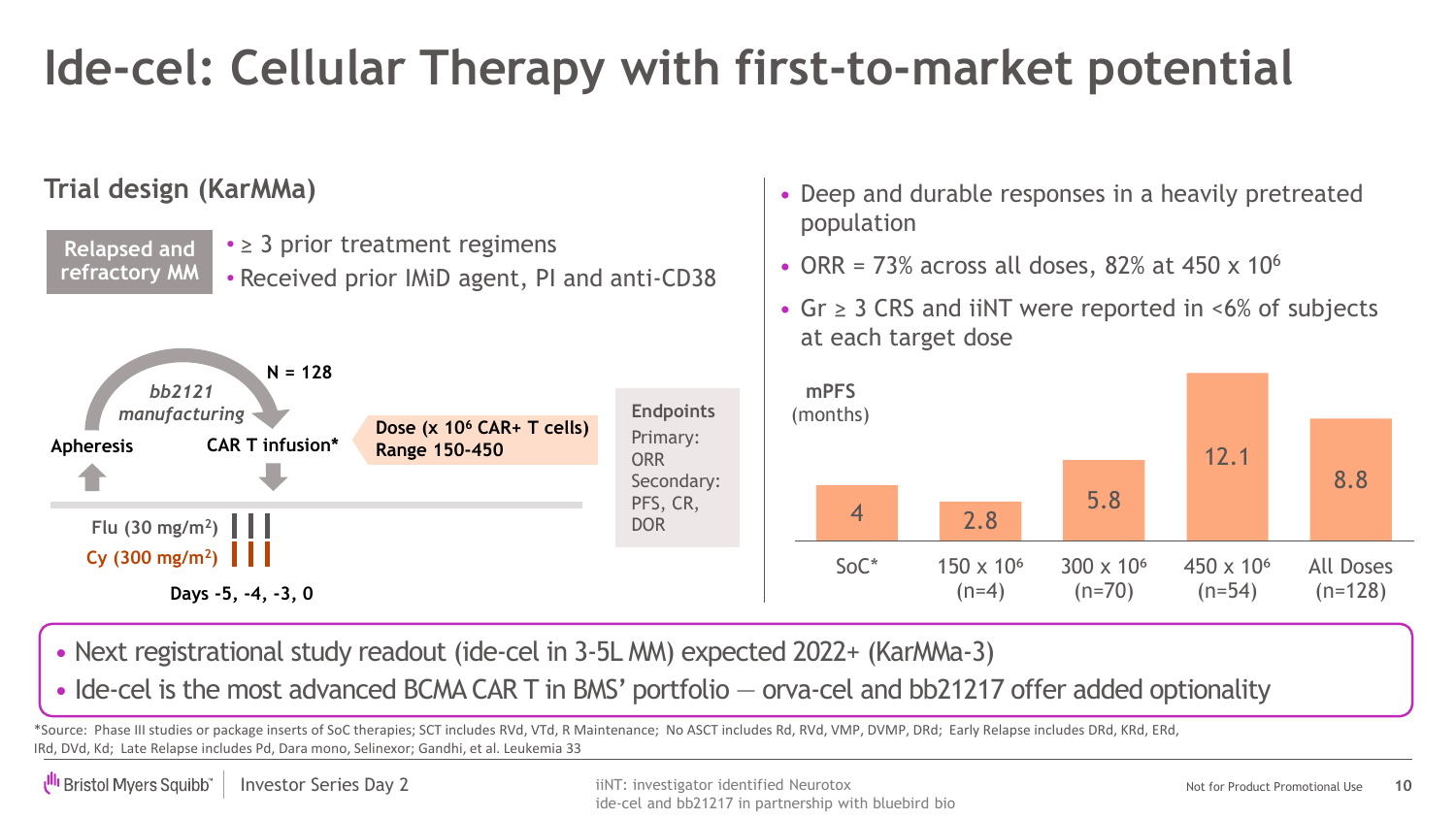## **Ide-cel: Cellular Therapy with first-to-market potential**

#### **Trial design (KarMMa)**



• Next registrational study readout (ide-cel in 3-5L MM) expected 2022+ (KarMMa-3)

• Ide-cel is the most advanced BCMA CAR T in BMS' portfolio – orva-cel and bb21217 offer added optionality

\*Source: Phase III studies or package inserts of SoC therapies; SCT includes RVd, VTd, R Maintenance; No ASCT includes Rd, RVd, VMP, DVMP, DRd; Early Relapse includes DRd, KRd, ERd, IRd, DVd, Kd; Late Relapse includes Pd, Dara mono, Selinexor; Gandhi, et al. Leukemia 33

• Deep and durable responses in a heavily pretreated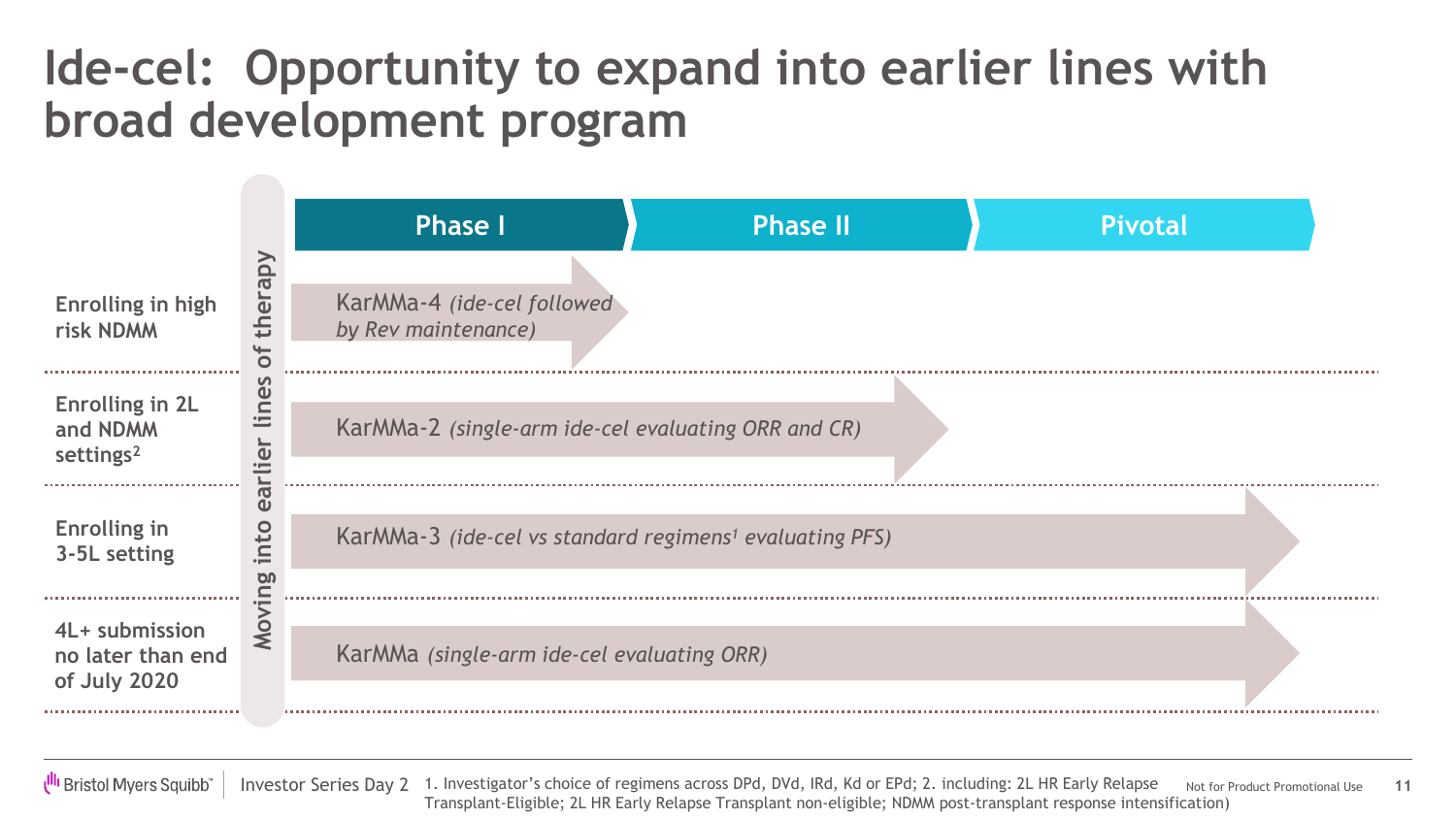### **Ide-cel: Opportunity to expand into earlier lines with broad development program**



**III** Bristol Myers Squibb

Investor Series Day 2 1. Investigator's choice of regimens across DPd, DVd, IRd, Kd or EPd; 2. including: 2L HR Early Relapse Not for Product Promotional Use **11** Transplant-Eligible; 2L HR Early Relapse Transplant non-eligible; NDMM post-transplant response intensification)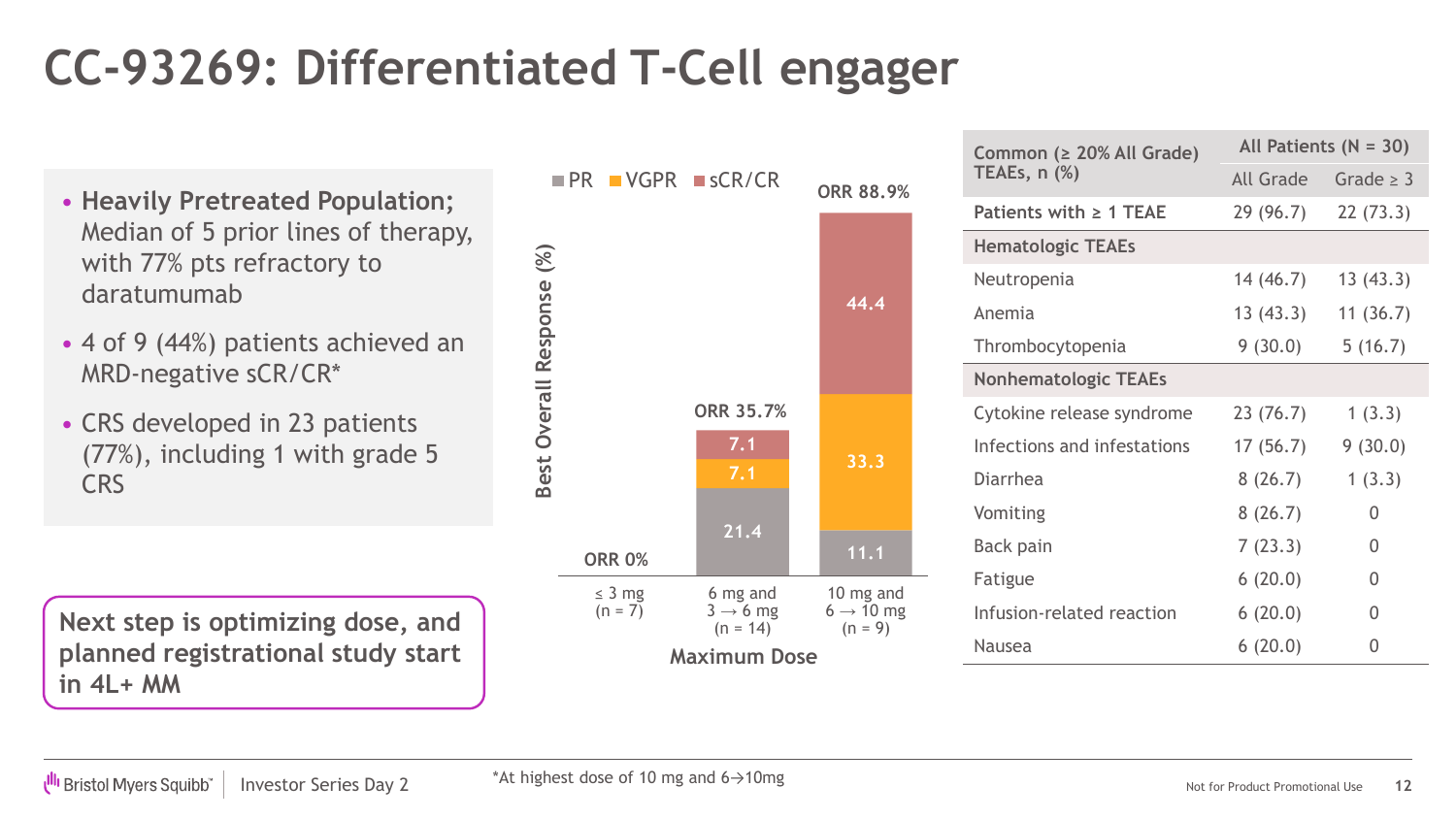## **CC-93269: Differentiated T-Cell engager**

- **Heavily Pretreated Population;** Median of 5 prior lines of therapy, with 77% pts refractory to daratumumab
- 4 of 9 (44%) patients achieved an MRD-negative sCR/CR\*
- CRS developed in 23 patients (77%), including 1 with grade 5 CRS

**Next step is optimizing dose, and planned registrational study start in 4L+ MM**



| Common (≥ 20% All Grade)    |           | All Patients $(N = 30)$ |  |  |
|-----------------------------|-----------|-------------------------|--|--|
| TEAEs, n (%)                | All Grade | Grade $\geq$ 3          |  |  |
| Patients with $\geq 1$ TEAE | 29 (96.7) | 22(73.3)                |  |  |
| <b>Hematologic TEAEs</b>    |           |                         |  |  |
| Neutropenia                 | 14 (46.7) | 13(43.3)                |  |  |
| Anemia                      | 13(43.3)  | 11(36.7)                |  |  |
| Thrombocytopenia            | 9(30.0)   | 5(16.7)                 |  |  |
| <b>Nonhematologic TEAEs</b> |           |                         |  |  |
| Cytokine release syndrome   | 23(76.7)  | 1(3.3)                  |  |  |
| Infections and infestations | 17(56.7)  | 9(30.0)                 |  |  |
| <b>Diarrhea</b>             | 8(26.7)   | 1(3.3)                  |  |  |
| Vomiting                    | 8(26.7)   | 0                       |  |  |
| <b>Back pain</b>            | 7(23.3)   | 0                       |  |  |
| Fatigue                     | 6(20.0)   | 0                       |  |  |
| Infusion-related reaction   | 6(20.0)   | 0                       |  |  |
| Nausea                      | 6(20.0)   | 0                       |  |  |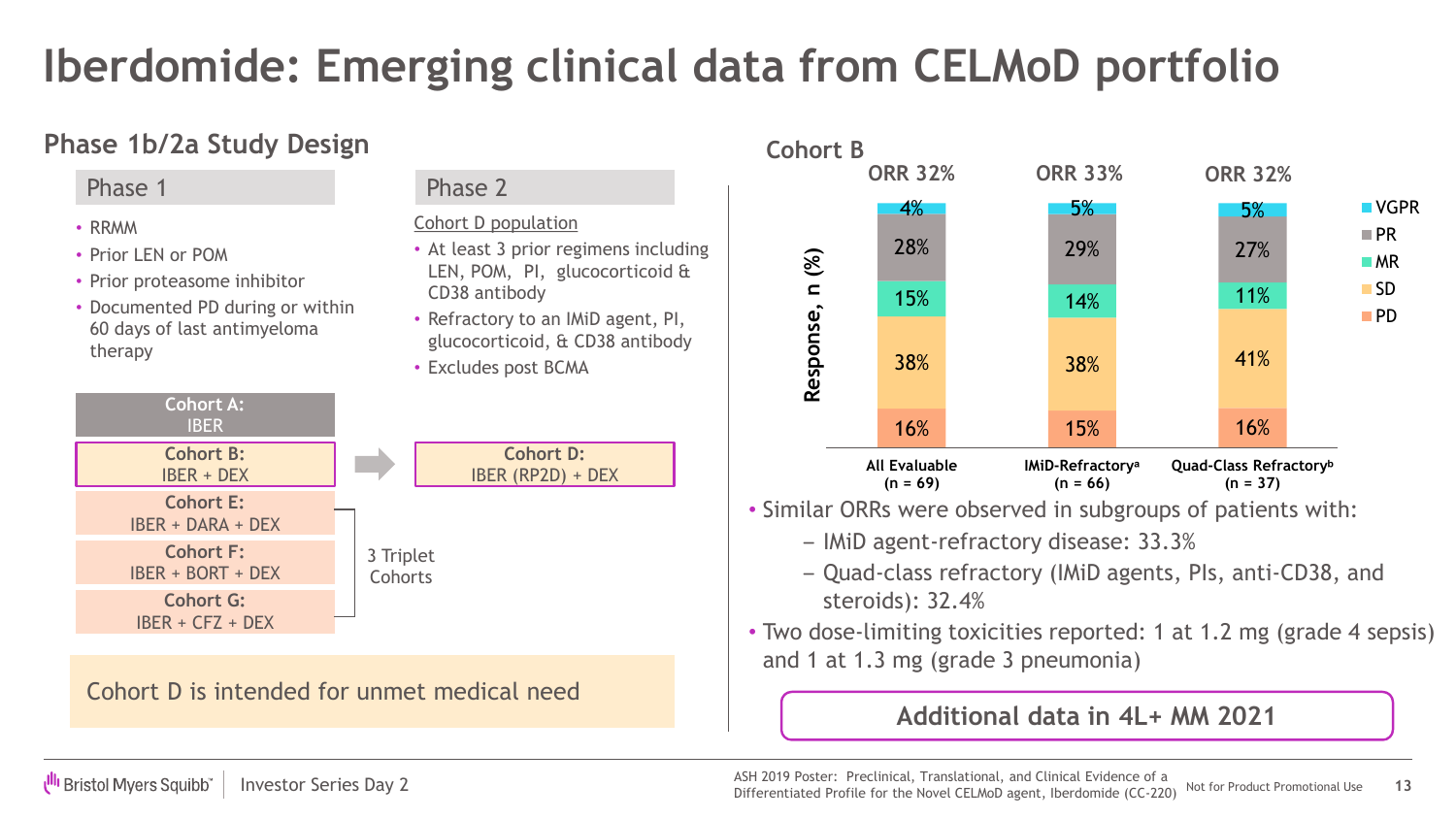### **Iberdomide: Emerging clinical data from CELMoD portfolio**

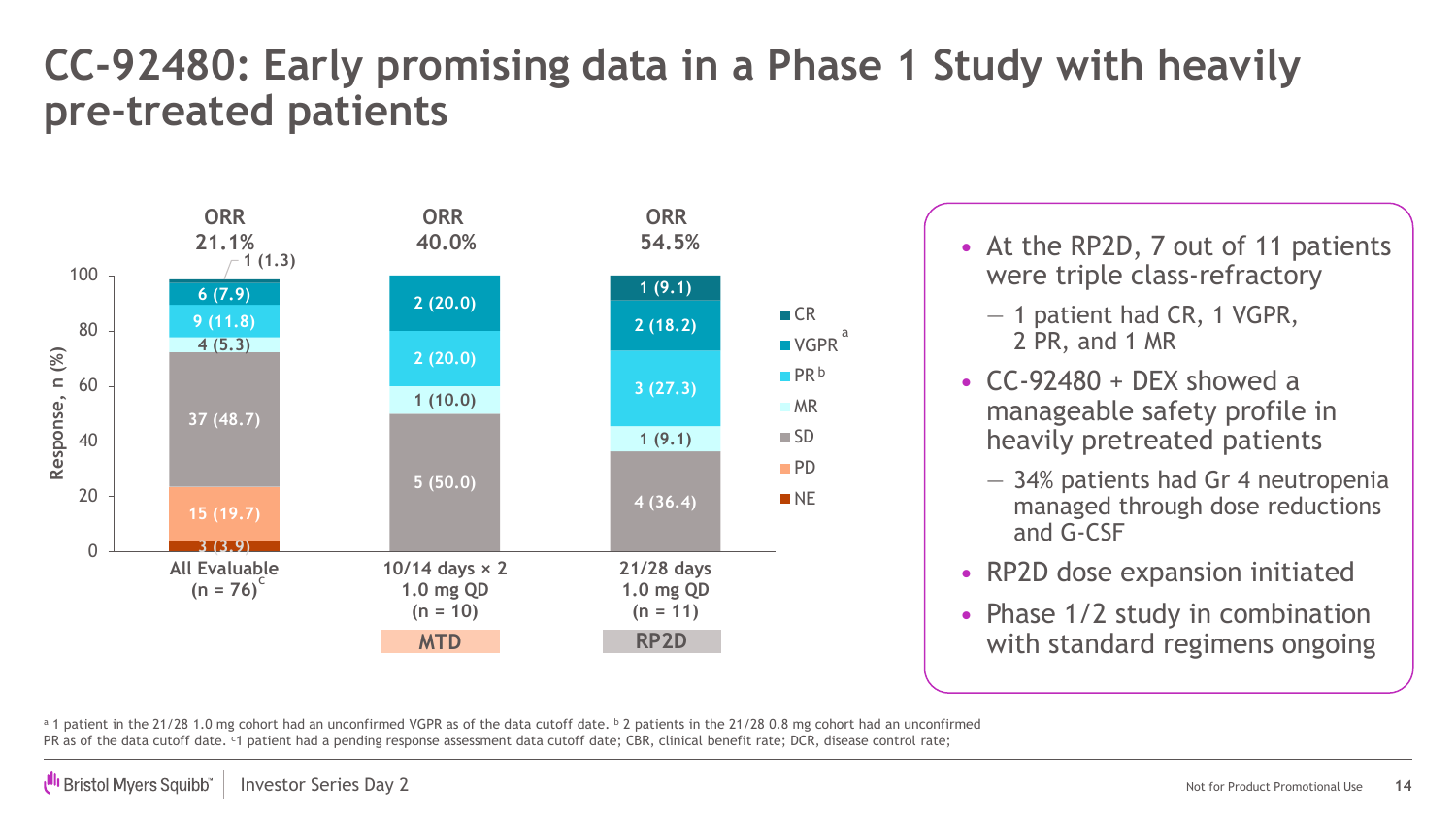### **CC-92480: Early promising data in a Phase 1 Study with heavily pre-treated patients**



- were triple class-refractory
	- 1 patient had CR, 1 VGPR, 2 PR, and 1 MR
- $CC-92480 + DEX$  showed a manageable safety profile in heavily pretreated patients
	- 34% patients had Gr 4 neutropenia managed through dose reductions and G-CSF
- RP2D dose expansion initiated
- Phase 1/2 study in combination with standard regimens ongoing

a 1 patient in the 21/28 1.0 mg cohort had an unconfirmed VGPR as of the data cutoff date. b 2 patients in the 21/28 0.8 mg cohort had an unconfirmed PR as of the data cutoff date. <sup>c</sup>1 patient had a pending response assessment data cutoff date; CBR, clinical benefit rate; DCR, disease control rate;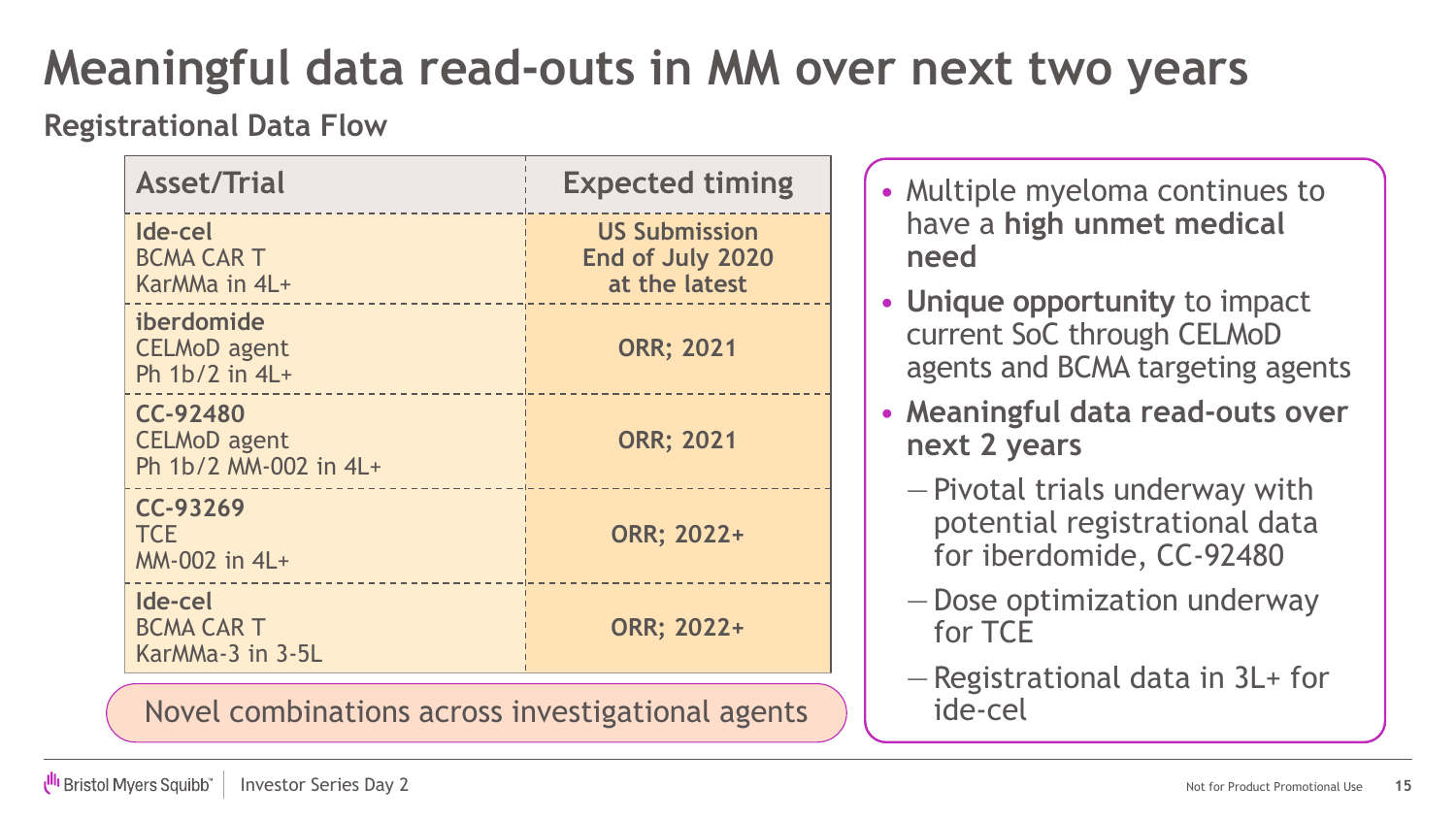### **Meaningful data read-outs in MM over next two years**

#### **Registrational Data Flow**

| <b>Asset/Trial</b>                                       | <b>Expected timing</b>                                    |
|----------------------------------------------------------|-----------------------------------------------------------|
| Ide-cel<br><b>BCMA CAR T</b><br>KarMMa in 4L+            | <b>US Submission</b><br>End of July 2020<br>at the latest |
| iberdomide<br><b>CELMoD</b> agent<br>Ph $1b/2$ in $4L+$  | <b>ORR; 2021</b>                                          |
| CC-92480<br><b>CELMoD</b> agent<br>Ph 1b/2 MM-002 in 4L+ | <b>ORR; 2021</b>                                          |
| CC-93269<br><b>TCE</b><br>MM-002 in 4L+                  | ORR; 2022+                                                |
| Ide-cel<br><b>BCMA CAR T</b><br>KarMMa-3 in 3-5L         | ORR; 2022+                                                |

Novel combinations across investigational agents

- Multiple myeloma continues to have a **high unmet medical need**
- **Unique opportunity** to impact current SoC through CELMoD agents and BCMA targeting agents
- **Meaningful data read-outs over next 2 years**
	- Pivotal trials underway with potential registrational data for iberdomide, CC-92480
	- Dose optimization underway for TCE
	- Registrational data in 3L+ for ide-cel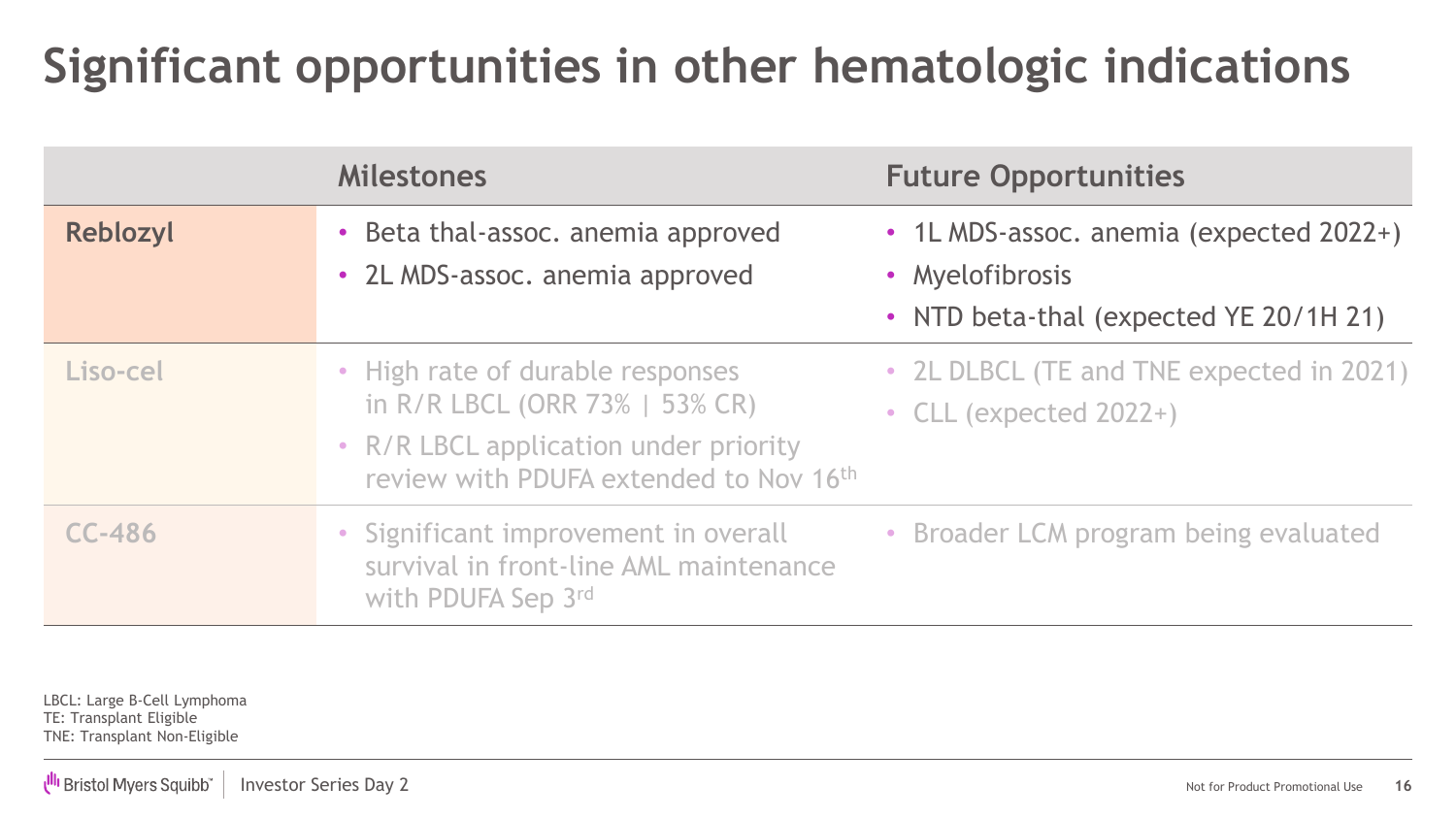### **Significant opportunities in other hematologic indications**

|               | <b>Milestones</b>                                                                                                                                     | <b>Future Opportunities</b>                                                                          |
|---------------|-------------------------------------------------------------------------------------------------------------------------------------------------------|------------------------------------------------------------------------------------------------------|
| Reblozyl      | • Beta thal-assoc. anemia approved<br>• 2L MDS-assoc. anemia approved                                                                                 | • 1L MDS-assoc. anemia (expected 2022+)<br>• Myelofibrosis<br>• NTD beta-thal (expected YE 20/1H 21) |
| Liso-cel      | • High rate of durable responses<br>in R/R LBCL (ORR 73%   53% CR)<br>• R/R LBCL application under priority<br>review with PDUFA extended to Nov 16th | • 2L DLBCL (TE and TNE expected in 2021)<br>• CLL (expected $2022+$ )                                |
| <b>CC-486</b> | • Significant improvement in overall<br>survival in front-line AML maintenance<br>with PDUFA Sep 3rd                                                  | • Broader LCM program being evaluated                                                                |

LBCL: Large B-Cell Lymphoma TE: Transplant Eligible TNE: Transplant Non-Eligible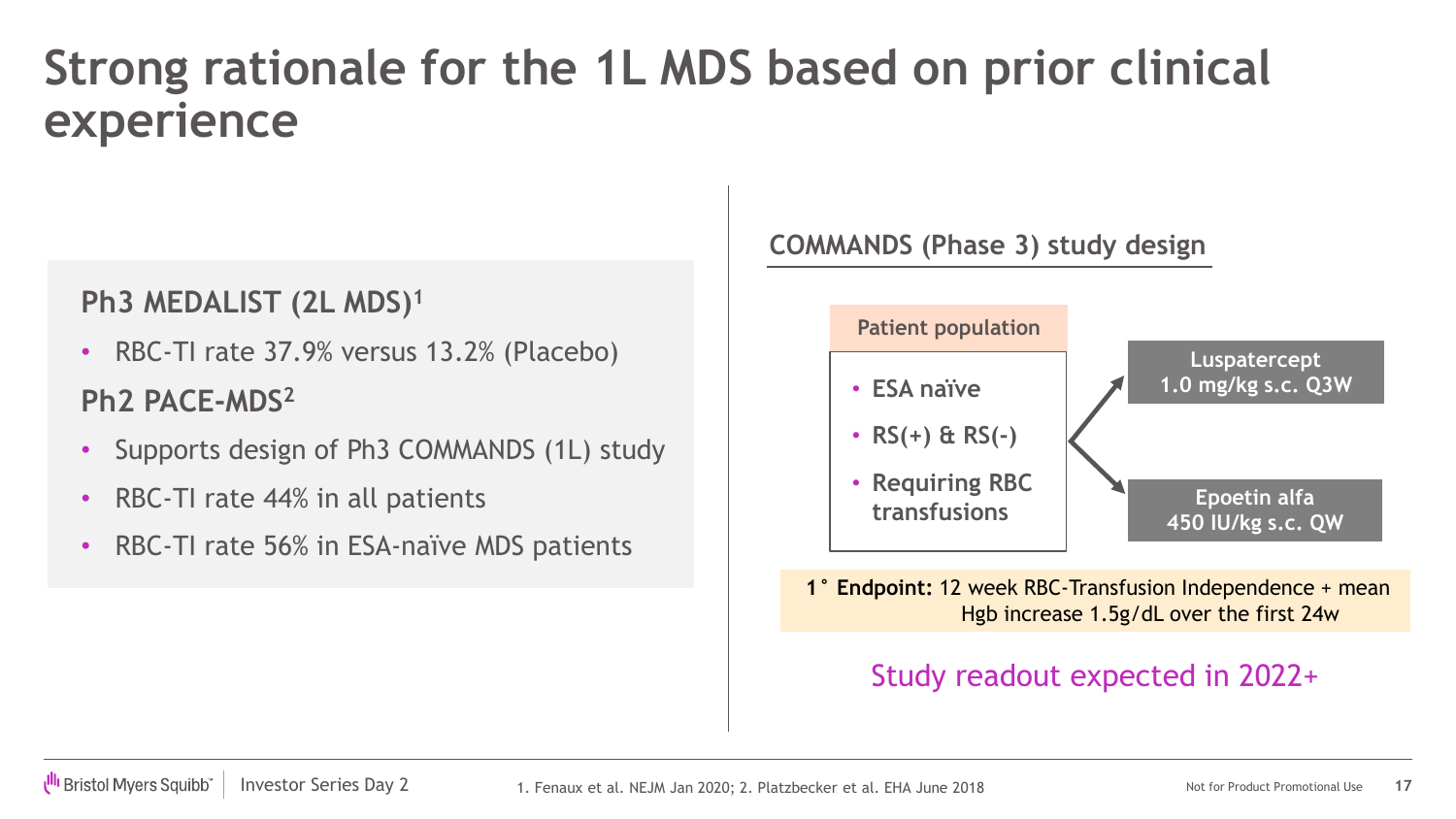### **Strong rationale for the 1L MDS based on prior clinical experience**

#### **Ph3 MEDALIST (2L MDS)1**

- RBC-TI rate 37.9% versus 13.2% (Placebo) **Ph2 PACE-MDS2**
- Supports design of Ph3 COMMANDS (1L) study
- RBC-TI rate 44% in all patients
- RBC-TI rate 56% in ESA-naïve MDS patients

#### **COMMANDS (Phase 3) study design**



**1° Endpoint:** 12 week RBC-Transfusion Independence + mean Hgb increase 1.5g/dL over the first 24w

#### Study readout expected in 2022+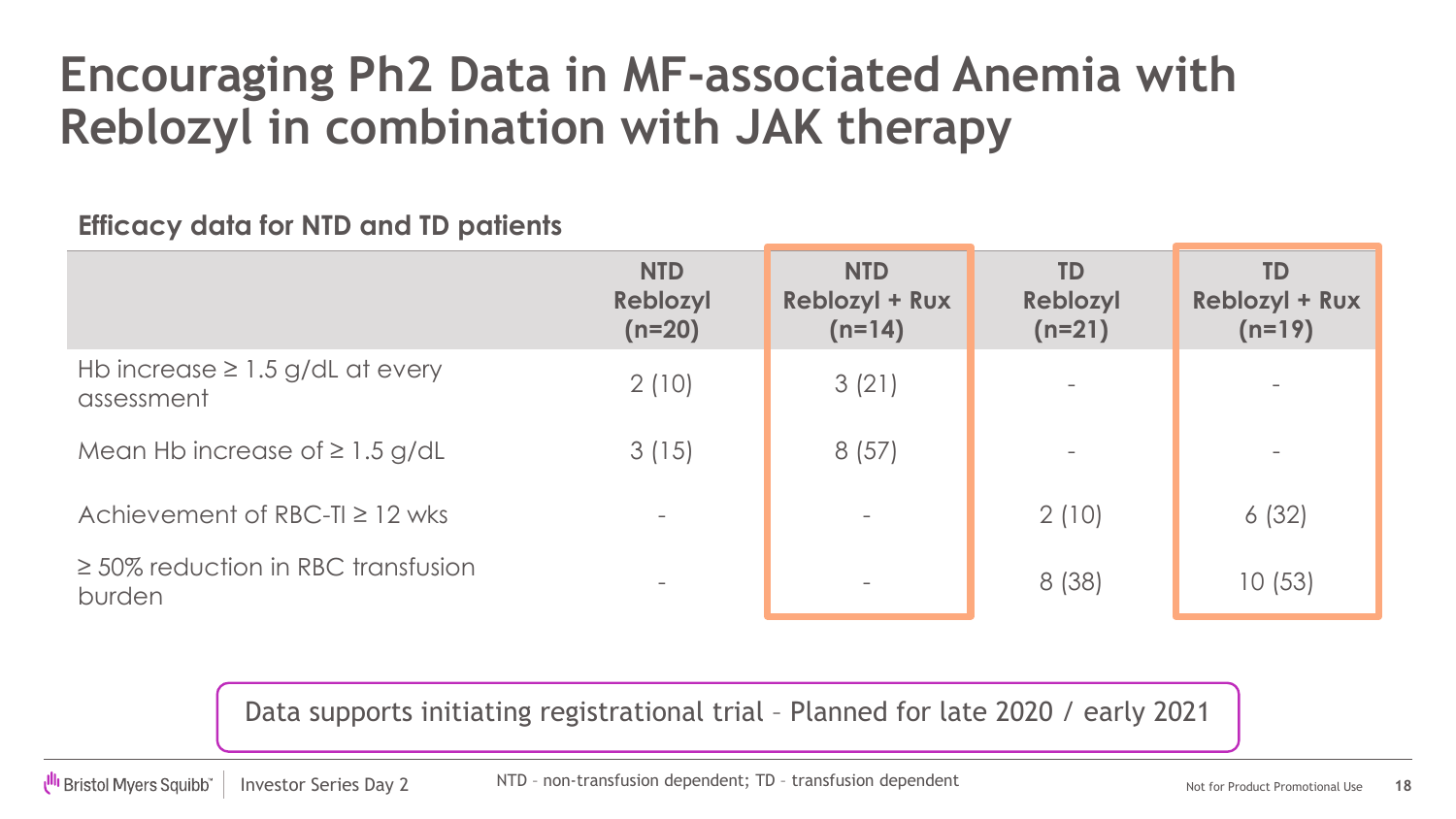### **Encouraging Ph2 Data in MF-associated Anemia with Reblozyl in combination with JAK therapy**

**Efficacy data for NTD and TD patients**

|                                                    | <b>NTD</b><br>Reblozyl<br>$(n=20)$ | <b>NTD</b><br><b>Reblozyl + Rux</b><br>$(n=14)$ | <b>TD</b><br>Reblozyl<br>$(n=21)$ | TD<br><b>Reblozyl + Rux</b><br>$(n=19)$ |
|----------------------------------------------------|------------------------------------|-------------------------------------------------|-----------------------------------|-----------------------------------------|
| Hb increase $\geq 1.5$ g/dL at every<br>assessment | 2(10)                              | 3(21)                                           |                                   |                                         |
| Mean Hb increase of $\geq 1.5$ g/dL                | 3(15)                              | 8(57)                                           |                                   |                                         |
| Achievement of RBC-T $\geq$ 12 wks                 |                                    |                                                 | 2(10)                             | 6(32)                                   |
| $\geq$ 50% reduction in RBC transfusion<br>burden  |                                    |                                                 | 8(38)                             | 10 (53)                                 |

Data supports initiating registrational trial – Planned for late 2020 / early 2021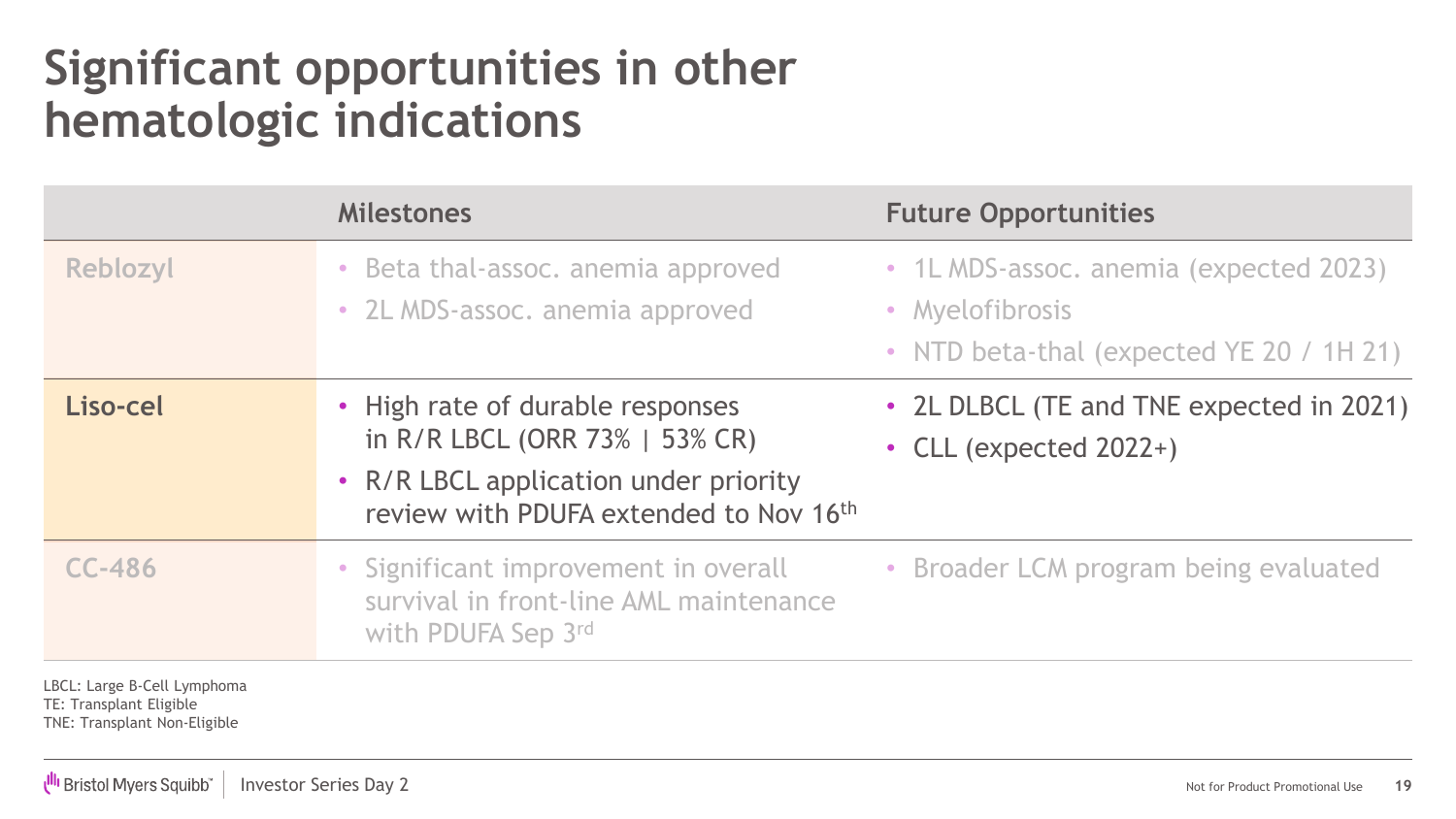### **Significant opportunities in other hematologic indications**

|                                                                                        | <b>Milestones</b>                                                                                                                                     | <b>Future Opportunities</b>                                                                           |
|----------------------------------------------------------------------------------------|-------------------------------------------------------------------------------------------------------------------------------------------------------|-------------------------------------------------------------------------------------------------------|
| Reblozyl                                                                               | • Beta thal-assoc. anemia approved<br>• 2L MDS-assoc. anemia approved                                                                                 | • 1L MDS-assoc. anemia (expected 2023)<br>• Myelofibrosis<br>• NTD beta-thal (expected YE 20 / 1H 21) |
| Liso-cel                                                                               | • High rate of durable responses<br>in R/R LBCL (ORR 73%   53% CR)<br>• R/R LBCL application under priority<br>review with PDUFA extended to Nov 16th | • 2L DLBCL (TE and TNE expected in 2021)<br>• CLL (expected $2022+$ )                                 |
| <b>CC-486</b>                                                                          | • Significant improvement in overall<br>survival in front-line AML maintenance<br>with PDUFA Sep 3rd                                                  | • Broader LCM program being evaluated                                                                 |
| LBCL: Large B-Cell Lymphoma<br>TE: Transplant Eligible<br>TNE: Transplant Non-Eligible |                                                                                                                                                       |                                                                                                       |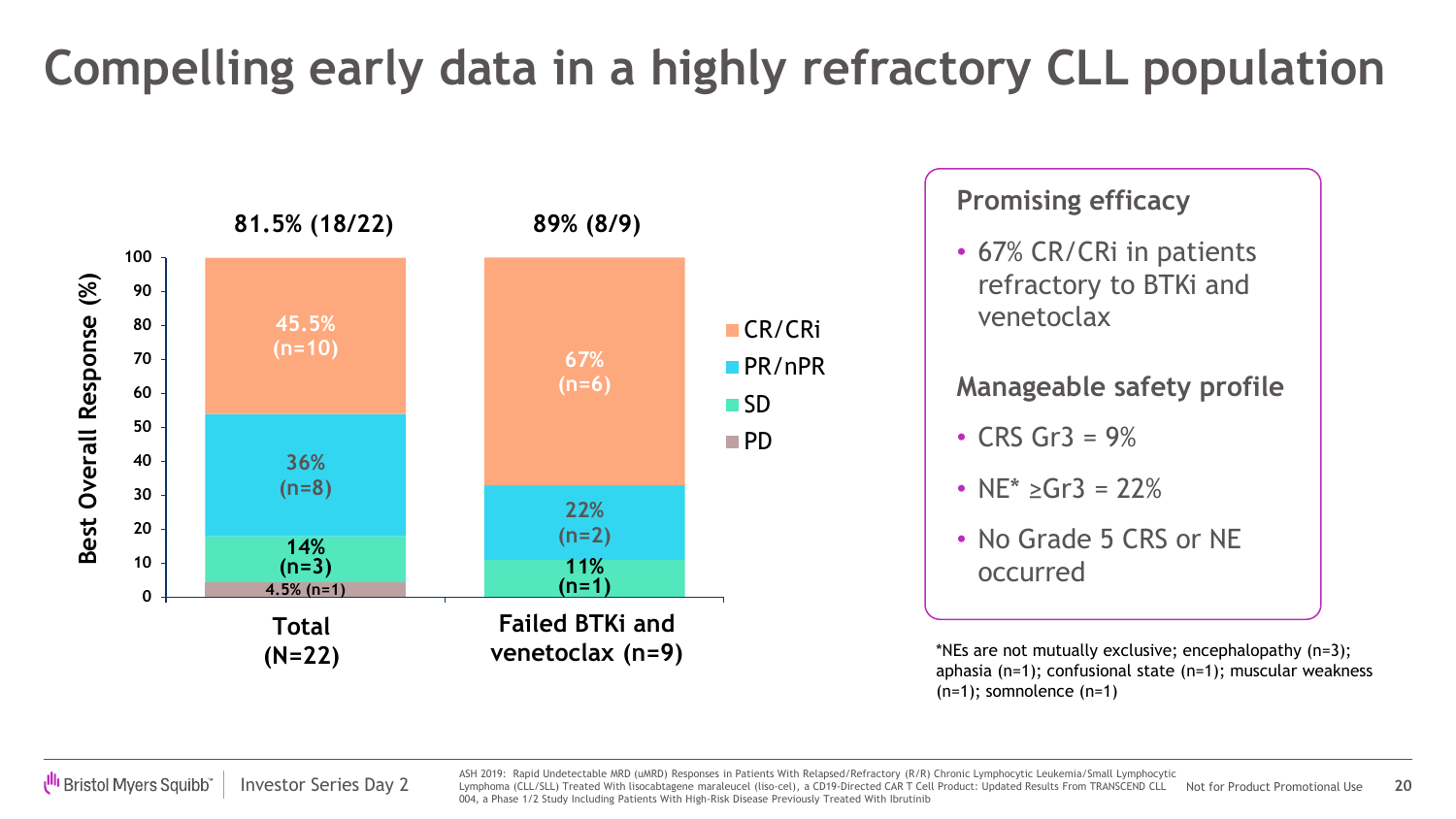## **Compelling early data in a highly refractory CLL population**



#### **Promising efficacy**

• 67% CR/CRi in patients refractory to BTKi and venetoclax

#### **Manageable safety profile**

- CRS Gr $3 = 9\%$
- $NE^* > Gr3 = 22\%$
- No Grade 5 CRS or NE occurred

\*NEs are not mutually exclusive; encephalopathy (n=3); aphasia (n=1); confusional state (n=1); muscular weakness (n=1); somnolence (n=1)

Investor Series Day 2 **Marriet Market CLL/SLL)** Treated With lisocabtagene maraleucel (liso-cel), a CD19-Directed CAR T Cell Product: Updated Results From TRANSCEND CLL Not for Product Promotional Use **20** ASH 2019: Rapid Undetectable MRD (uMRD) Responses in Patients With Relapsed/Refractory (R/R) Chronic Lymphocytic Leukemia/Small Lymphocytic 004, a Phase 1/2 Study Including Patients With High-Risk Disease Previously Treated With Ibrutinib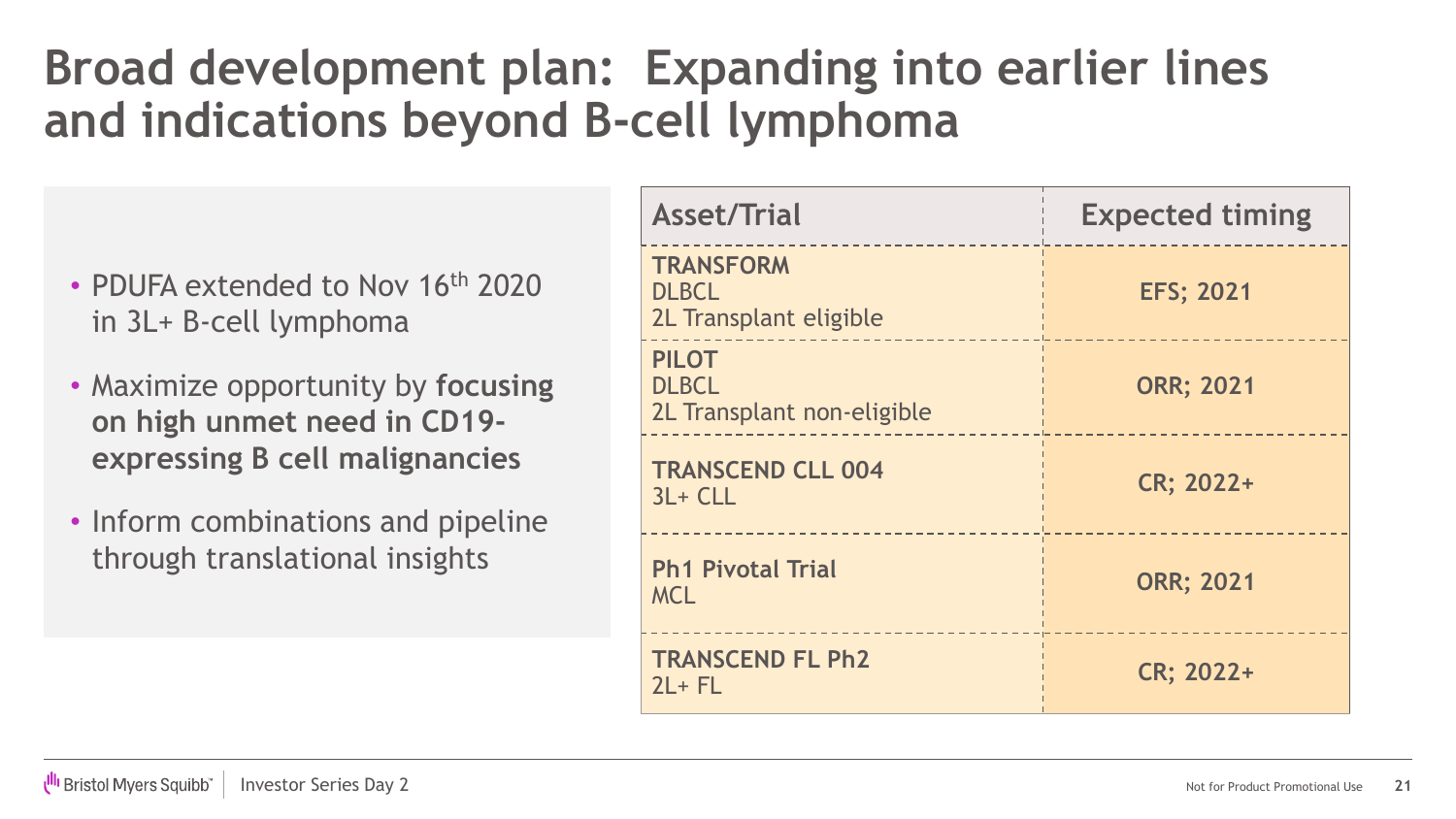### **Broad development plan: Expanding into earlier lines and indications beyond B-cell lymphoma**

- PDUFA extended to Nov 16<sup>th</sup> 2020 in 3L+ B-cell lymphoma
- Maximize opportunity by **focusing on high unmet need in CD19 expressing B cell malignancies**
- Inform combinations and pipeline through translational insights

| <b>Asset/Trial</b>                                         | <b>Expected timing</b> |
|------------------------------------------------------------|------------------------|
| <b>TRANSFORM</b><br><b>DLBCL</b><br>2L Transplant eligible | <b>EFS; 2021</b>       |
| <b>PILOT</b><br><b>DLBCL</b><br>2L Transplant non-eligible | <b>ORR; 2021</b>       |
| <b>TRANSCEND CLL 004</b><br>$3L + CLL$                     | CR; 2022+              |
| <b>Ph1 Pivotal Trial</b><br><b>MCL</b>                     | <b>ORR; 2021</b>       |
| <b>TRANSCEND FL Ph2</b><br>$2L + FL$                       | CR; 2022+              |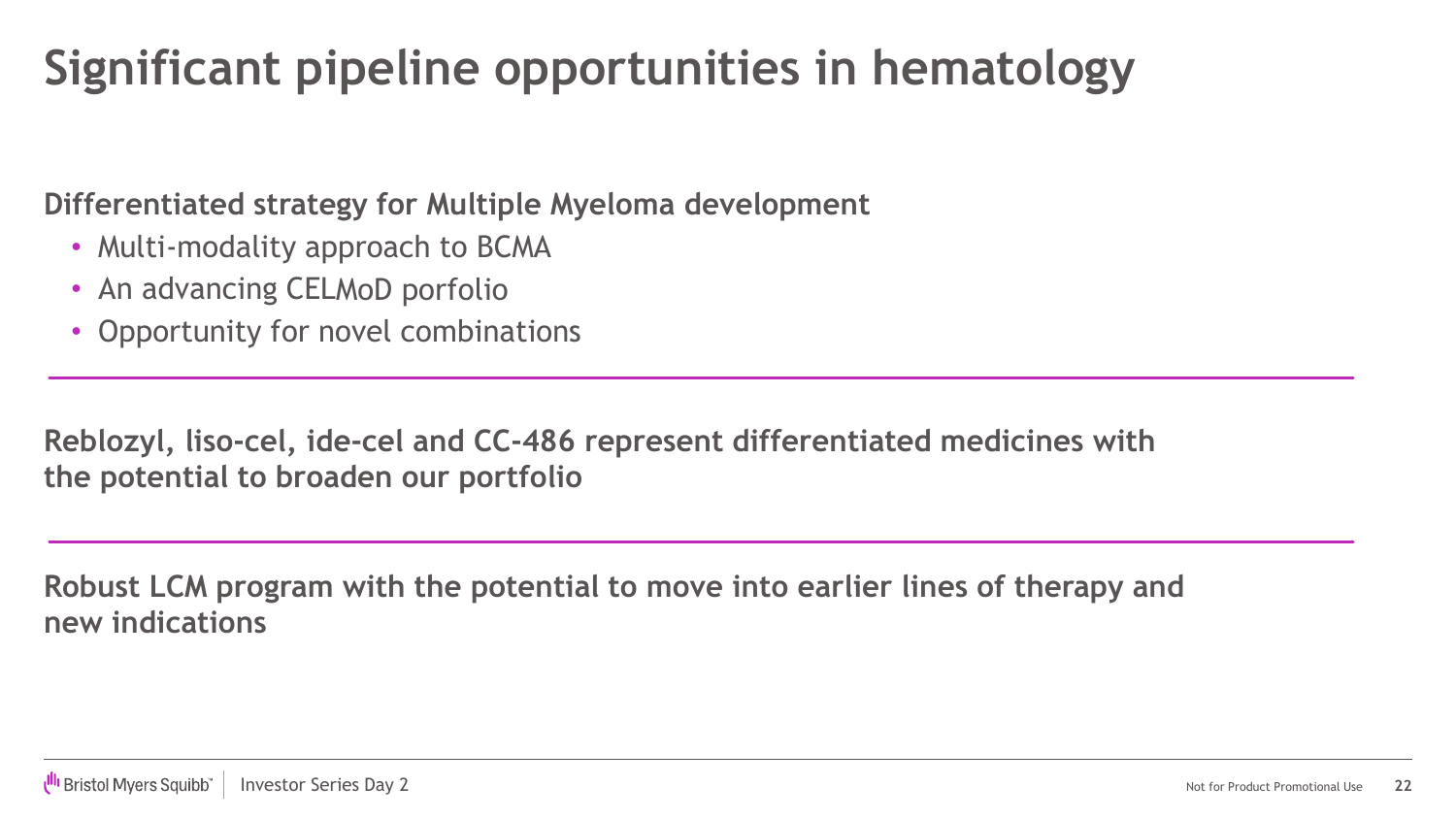### **Significant pipeline opportunities in hematology**

**Differentiated strategy for Multiple Myeloma development** 

- Multi-modality approach to BCMA
- An advancing CELMoD porfolio
- Opportunity for novel combinations

**Reblozyl, liso-cel, ide-cel and CC-486 represent differentiated medicines with the potential to broaden our portfolio**

**Robust LCM program with the potential to move into earlier lines of therapy and new indications**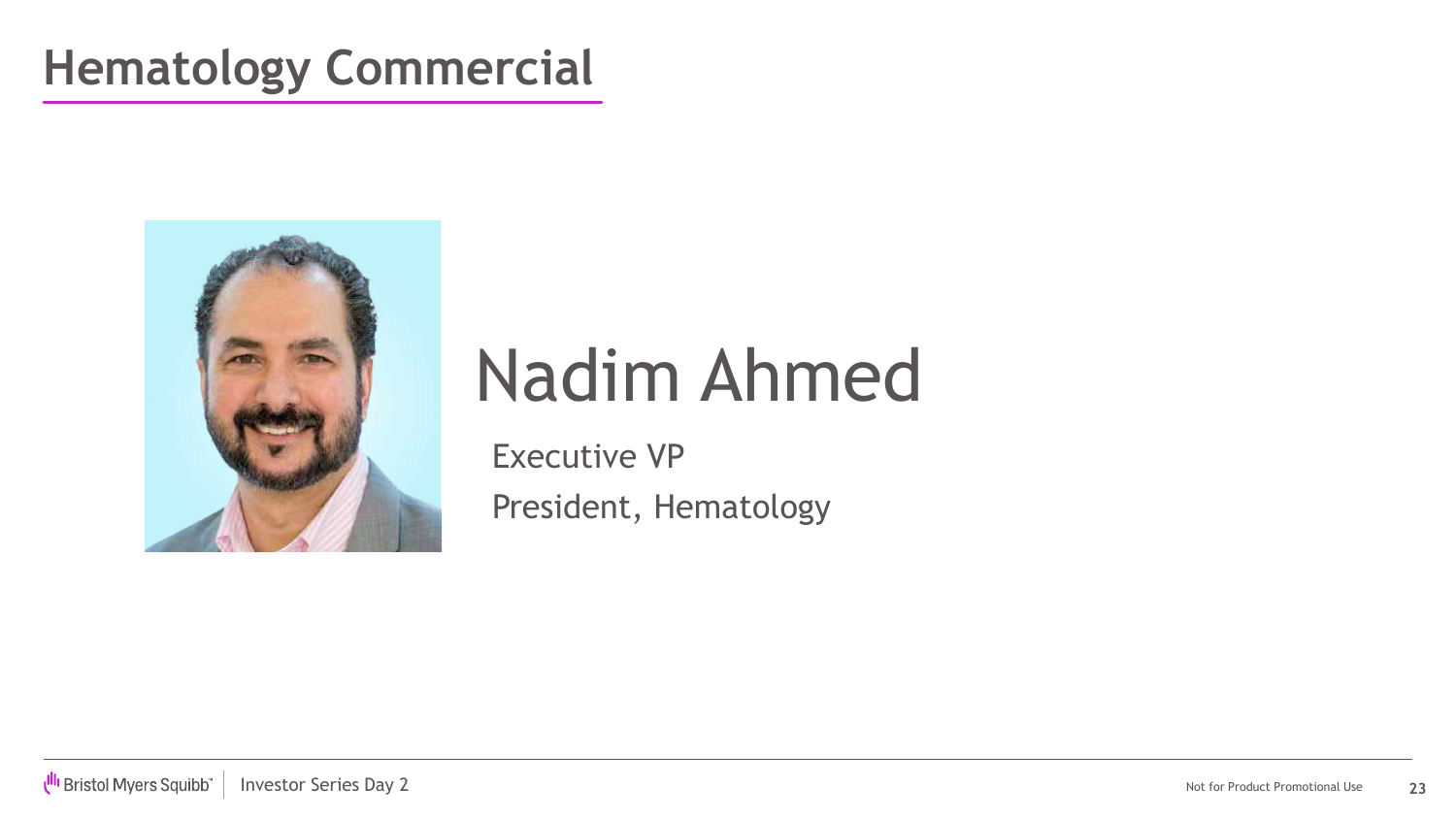### **Hematology Commercial**



# Nadim Ahmed

Executive VP President, Hematology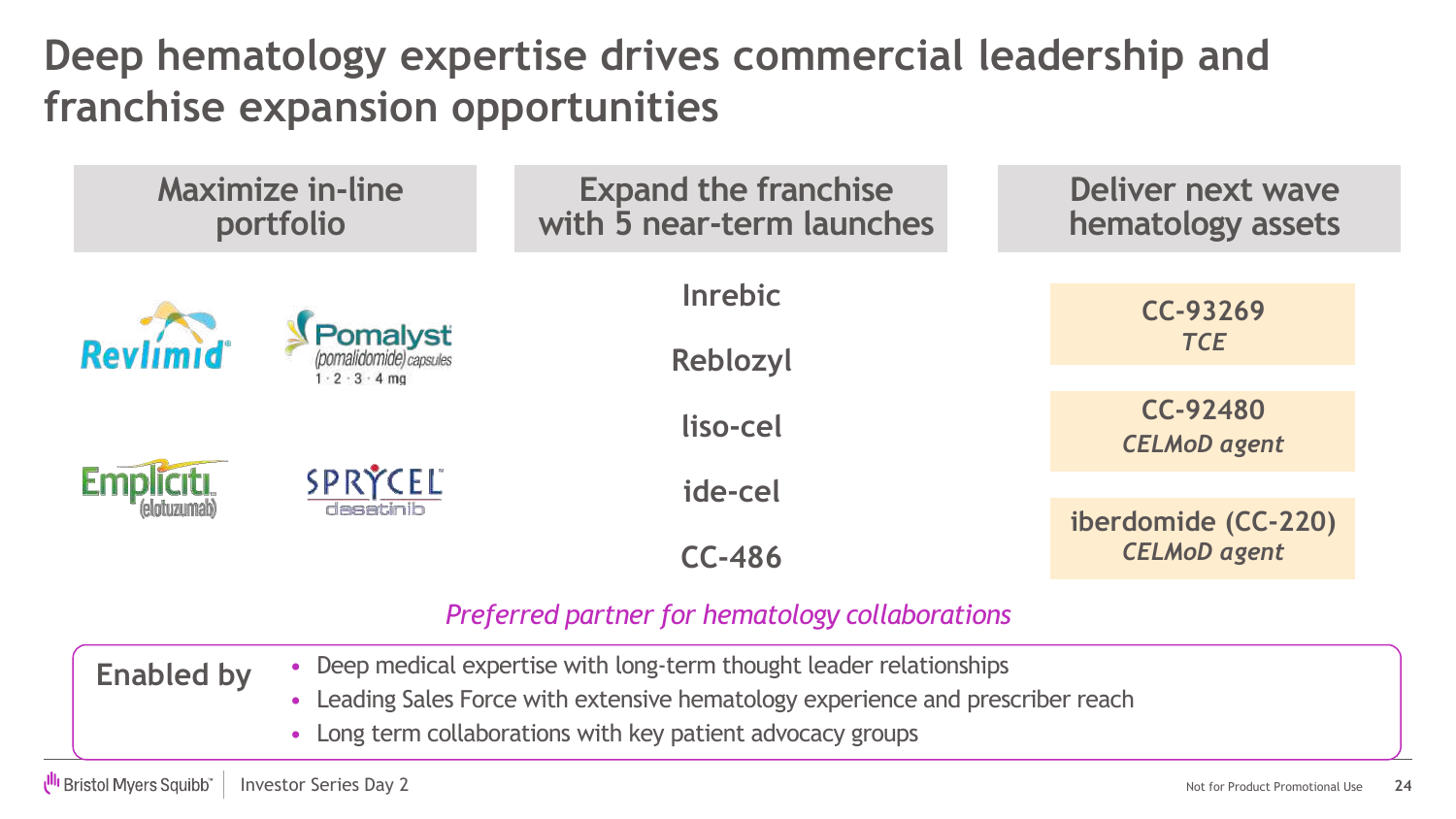**Deep hematology expertise drives commercial leadership and franchise expansion opportunities** 

| <b>Maximize in-line</b><br>portfolio                             |                                                                              | <b>Expand the franchise</b><br>with 5 near-term launches | <b>Deliver next wave</b><br>hematology assets |  |
|------------------------------------------------------------------|------------------------------------------------------------------------------|----------------------------------------------------------|-----------------------------------------------|--|
| Revlimid                                                         | <b>Pomalyst</b><br>(pomalidomide) capsules<br>$1 \cdot 2 \cdot 3 \cdot 4$ mg | <b>Inrebic</b><br>Reblozyl                               | CC-93269<br><b>TCE</b>                        |  |
|                                                                  |                                                                              | liso-cel                                                 | CC-92480<br><b>CELMoD</b> agent               |  |
|                                                                  | SPRÝCEL<br>dasatinib                                                         | ide-cel                                                  | iberdomide (CC-220)<br><b>CELMoD</b> agent    |  |
| <b>CC-486</b><br>Preferred partner for hematology collaborations |                                                                              |                                                          |                                               |  |

- Deep medical expertise with long-term thought leader relationships **Enabled by**
	- Leading Sales Force with extensive hematology experience and prescriber reach
	- Long term collaborations with key patient advocacy groups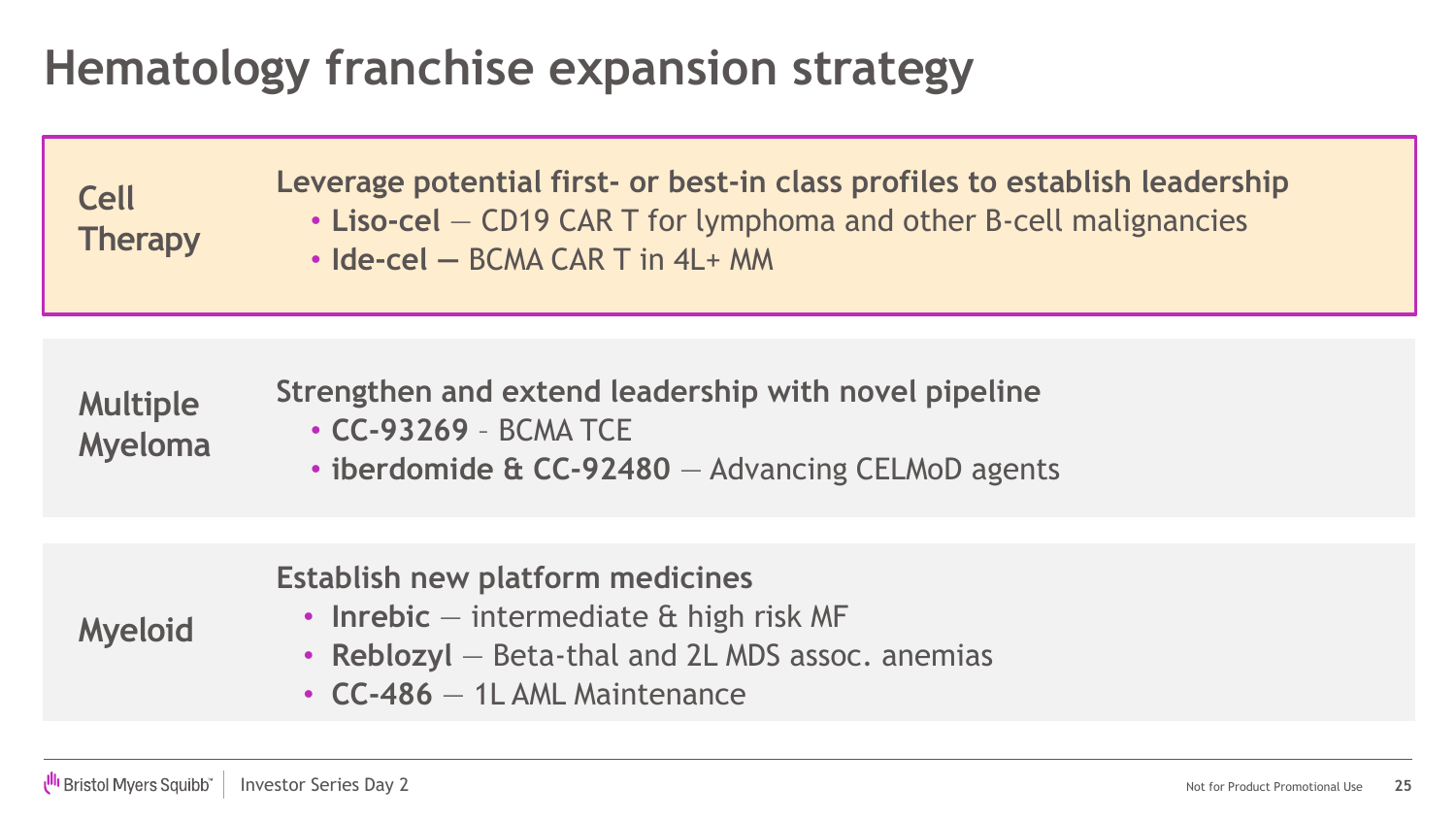### **Hematology franchise expansion strategy**

**Cell Therapy** **Leverage potential first- or best-in class profiles to establish leadership** • **Liso-cel** — CD19 CAR T for lymphoma and other B-cell malignancies • **Ide-cel —** BCMA CAR T in 4L+ MM

**Multiple Myeloma Strengthen and extend leadership with novel pipeline** • **CC-93269** – BCMA TCE • **iberdomide & CC-92480** — Advancing CELMoD agents

#### **Myeloid Establish new platform medicines** • **Inrebic** — intermediate & high risk MF • **Reblozyl** — Beta-thal and 2L MDS assoc. anemias

• **CC-486** — 1L AML Maintenance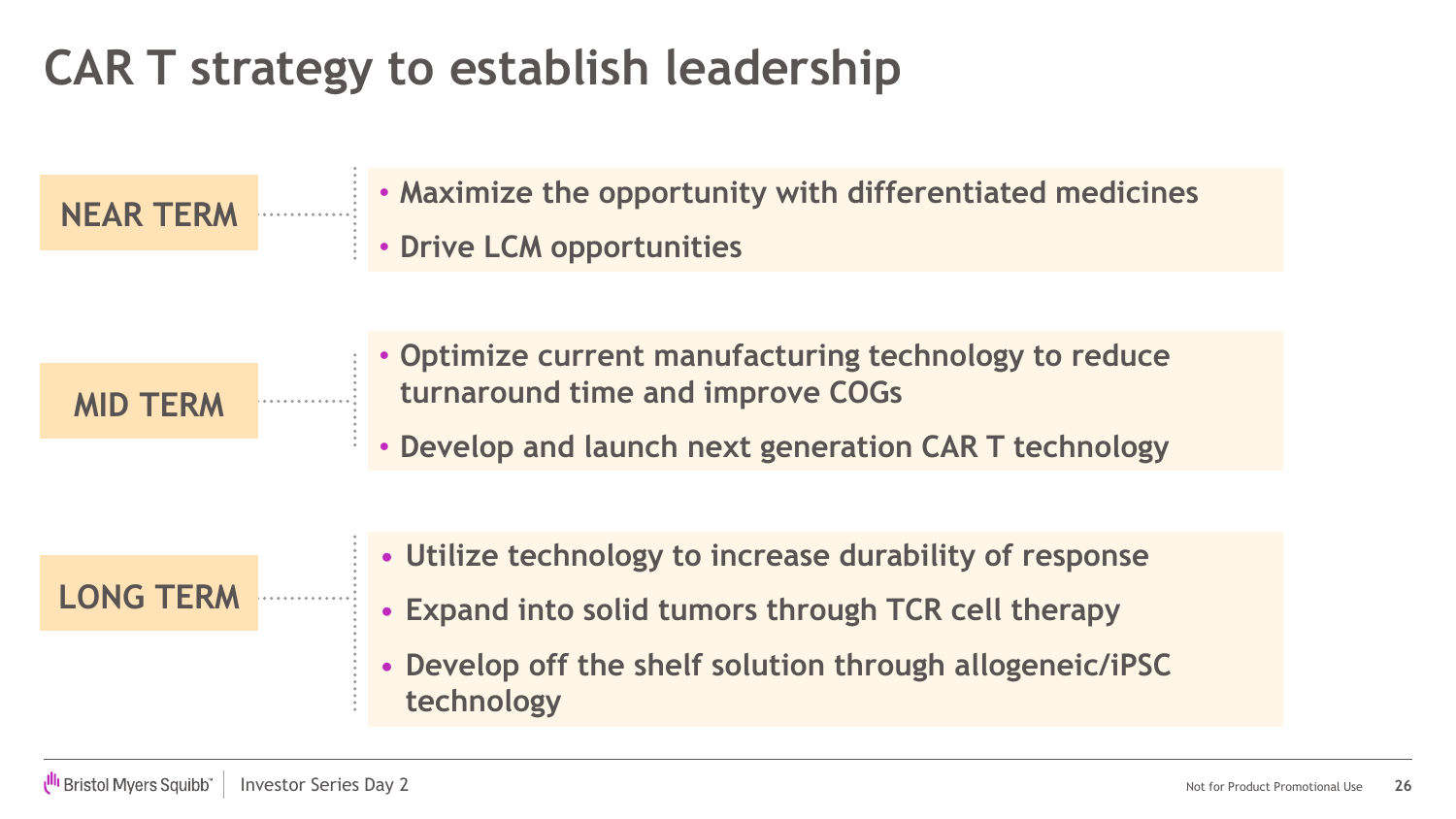### **CAR T strategy to establish leadership**

**NEAR TERM**

- **Maximize the opportunity with differentiated medicines**
- **Drive LCM opportunities**

**MID TERM**

- **Optimize current manufacturing technology to reduce turnaround time and improve COGs**
- **Develop and launch next generation CAR T technology**



- **Utilize technology to increase durability of response**
- **Expand into solid tumors through TCR cell therapy**
- **Develop off the shelf solution through allogeneic/iPSC technology**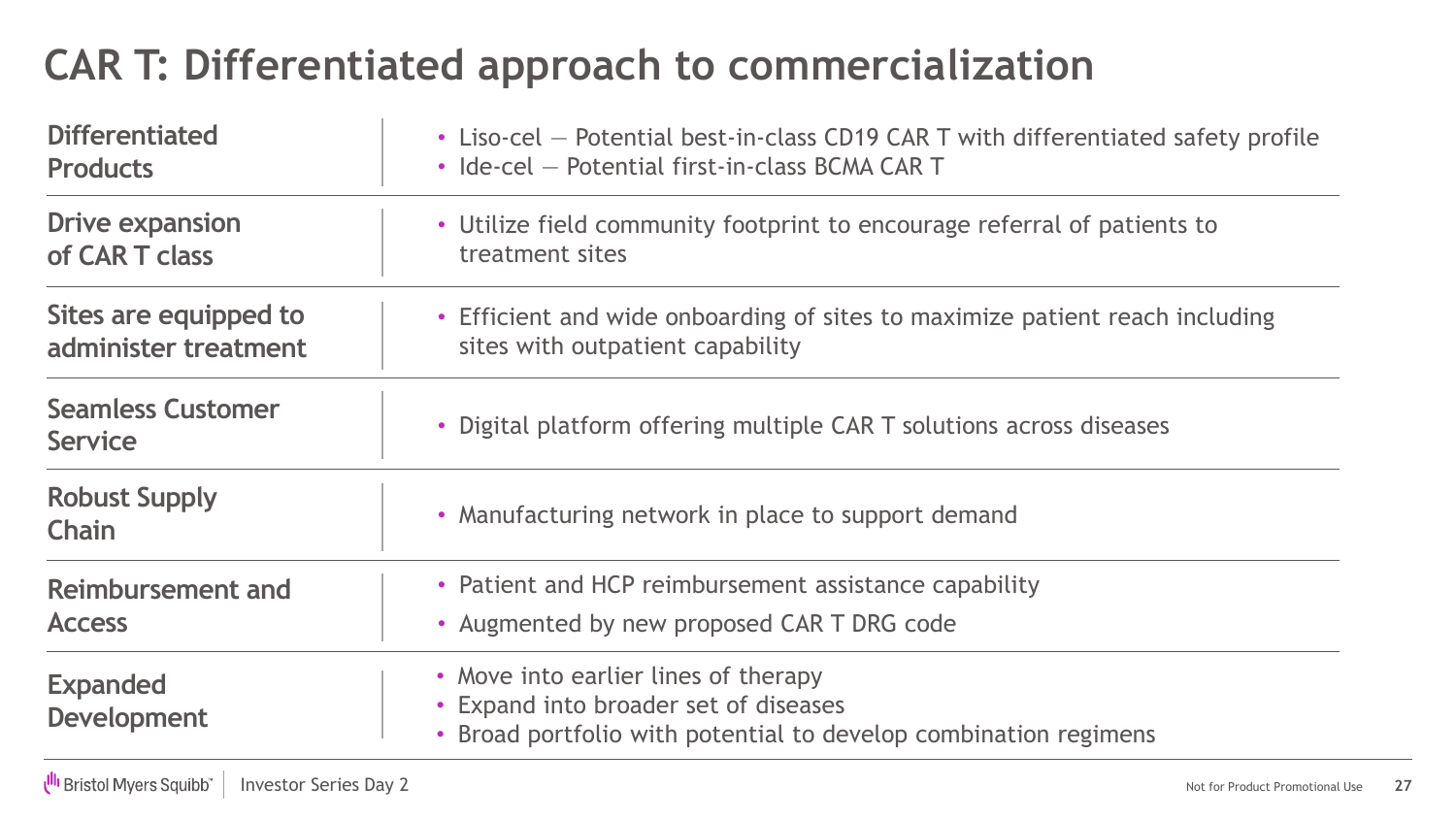### **CAR T: Differentiated approach to commercialization**

| <b>Differentiated</b>                      | • Liso-cel – Potential best-in-class CD19 CAR T with differentiated safety profile                                                                |  |  |  |
|--------------------------------------------|---------------------------------------------------------------------------------------------------------------------------------------------------|--|--|--|
| <b>Products</b>                            | • Ide-cel - Potential first-in-class BCMA CAR T                                                                                                   |  |  |  |
| <b>Drive expansion</b>                     | • Utilize field community footprint to encourage referral of patients to                                                                          |  |  |  |
| of CAR T class                             | treatment sites                                                                                                                                   |  |  |  |
| Sites are equipped to                      | • Efficient and wide onboarding of sites to maximize patient reach including                                                                      |  |  |  |
| administer treatment                       | sites with outpatient capability                                                                                                                  |  |  |  |
| <b>Seamless Customer</b><br><b>Service</b> | • Digital platform offering multiple CAR T solutions across diseases                                                                              |  |  |  |
| <b>Robust Supply</b><br><b>Chain</b>       | • Manufacturing network in place to support demand                                                                                                |  |  |  |
| Reimbursement and                          | • Patient and HCP reimbursement assistance capability                                                                                             |  |  |  |
| <b>Access</b>                              | • Augmented by new proposed CAR T DRG code                                                                                                        |  |  |  |
| <b>Expanded</b><br><b>Development</b>      | • Move into earlier lines of therapy<br>• Expand into broader set of diseases<br>• Broad portfolio with potential to develop combination regimens |  |  |  |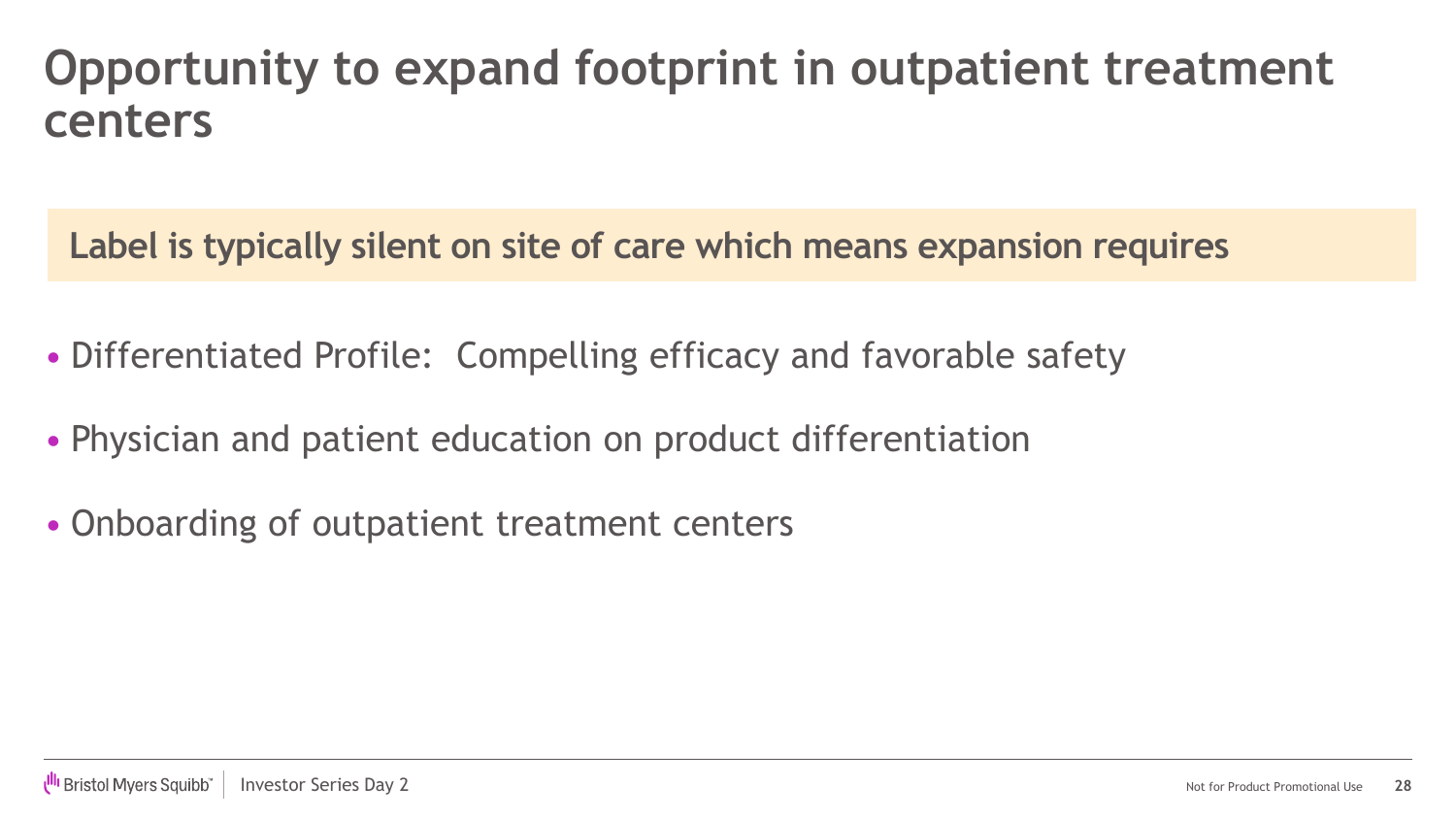### **Opportunity to expand footprint in outpatient treatment centers**

**Label is typically silent on site of care which means expansion requires**

- Differentiated Profile: Compelling efficacy and favorable safety
- Physician and patient education on product differentiation
- Onboarding of outpatient treatment centers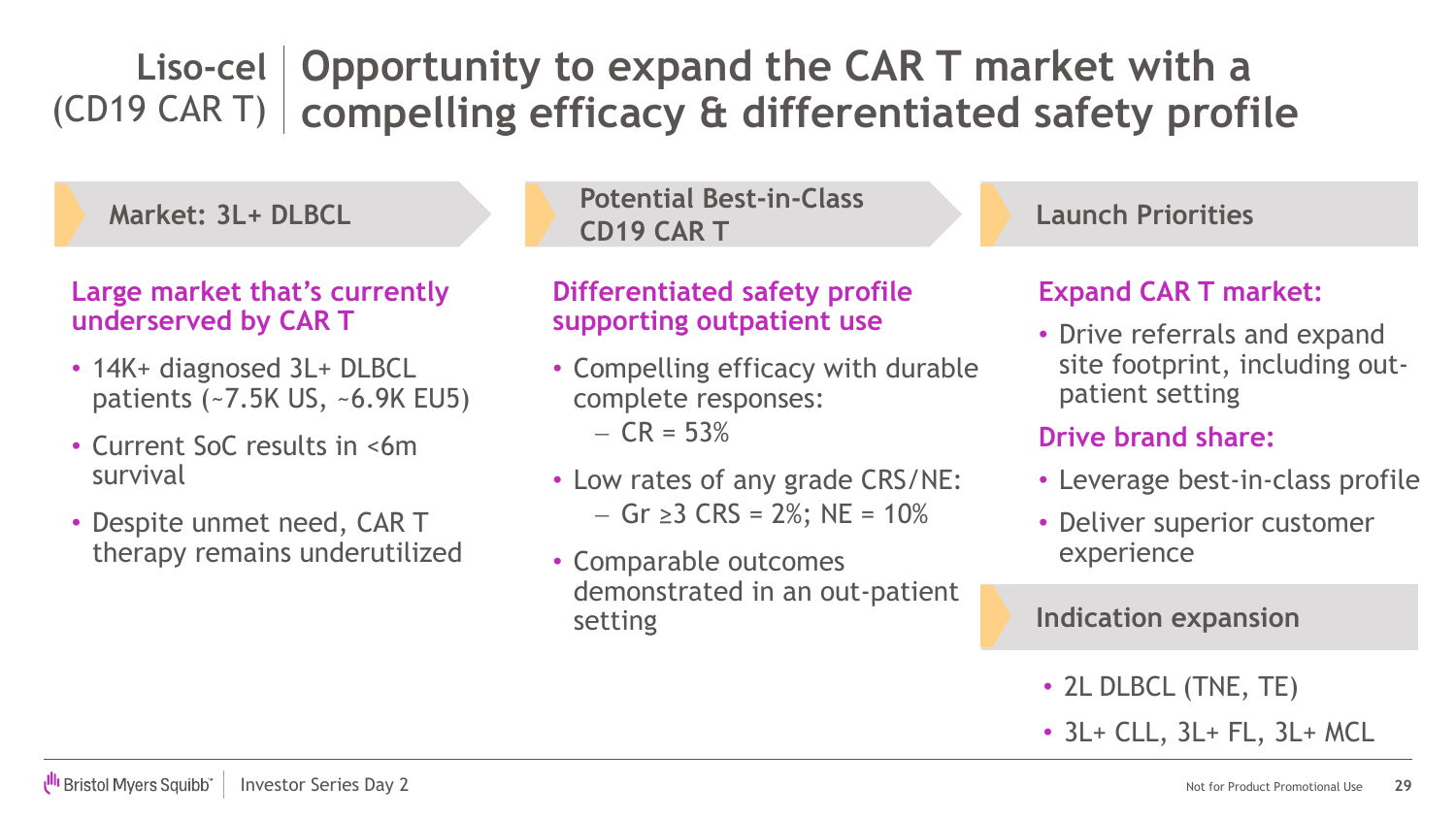#### Liso-cel Opportunity to expand the CAR T market with a **compelling efficacy & differentiated safety profile** (CD19 CAR T)

**Market: 3L+ DLBCL**

#### **Large market that's currently underserved by CAR T**

- 14K+ diagnosed 3L+ DLBCL patients (~7.5K US, ~6.9K EU5)
- Current SoC results in <6m survival
- Despite unmet need, CAR T therapy remains underutilized

**Potential Best-in-Class CD19 CAR T**

#### **Differentiated safety profile supporting outpatient use**

- Compelling efficacy with durable complete responses:  $- CR = 53%$
- Low rates of any grade CRS/NE: − Gr ≥3 CRS = 2%; NE = 10%
- Comparable outcomes demonstrated in an out-patient setting

**Launch Priorities**

#### **Expand CAR T market:**

• Drive referrals and expand site footprint, including outpatient setting

#### **Drive brand share:**

- Leverage best-in-class profile
- Deliver superior customer experience

#### **Indication expansion**

- 2L DLBCL (TNE, TE)
- 3L+ CLL, 3L+ FL, 3L+ MCL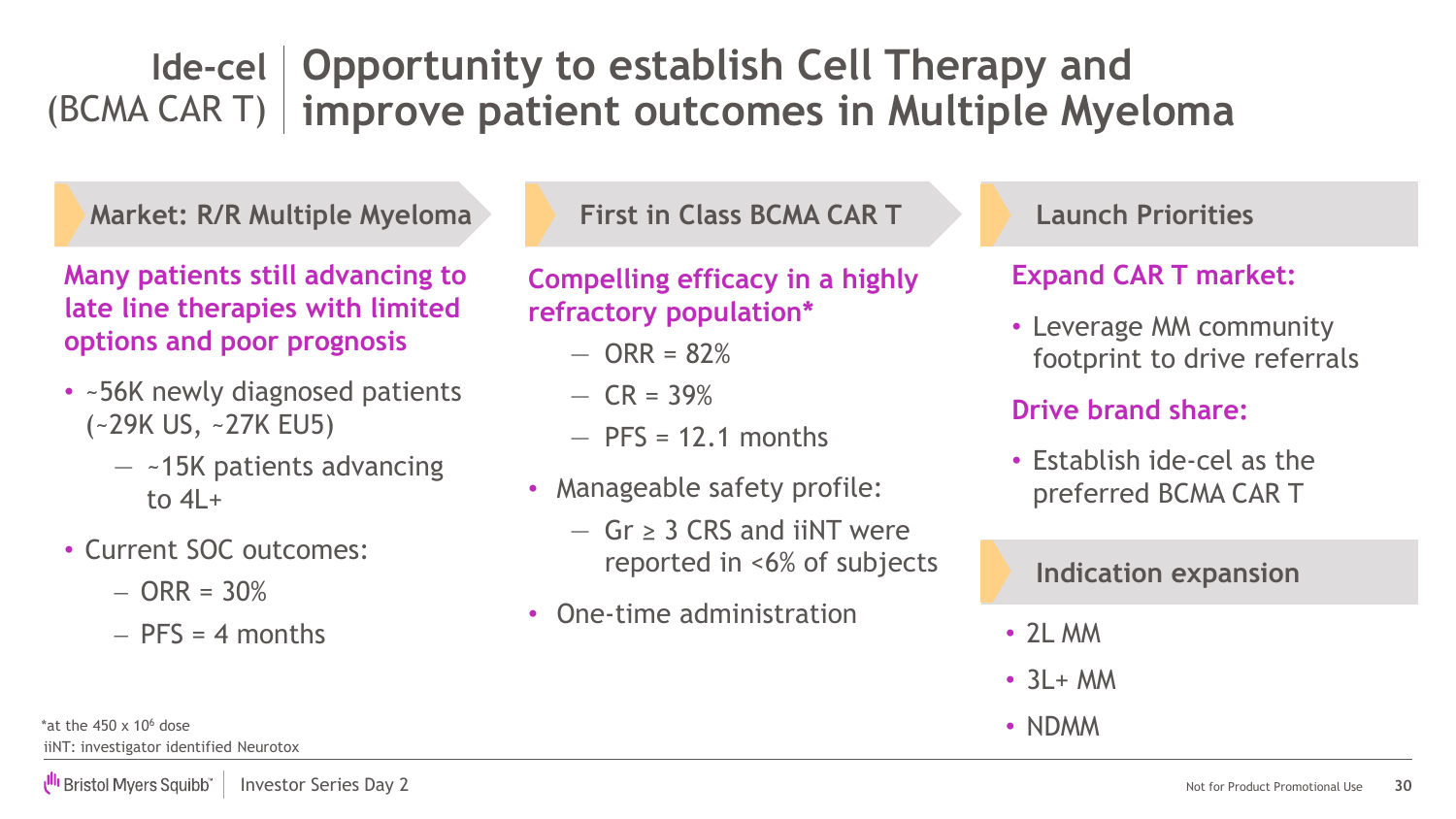### **Opportunity to establish Cell Therapy and Ide-cel** (BCMA CAR T) | improve patient outcomes in Multiple Myeloma

**Market: R/R Multiple Myeloma**

**Many patients still advancing to late line therapies with limited options and poor prognosis**

- ~56K newly diagnosed patients (~29K US, ~27K EU5)
	- $-$  ~15K patients advancing to  $4I +$
- Current SOC outcomes:
	- $-$  ORR = 30%
	- $-$  PFS = 4 months

**First in Class BCMA CAR T**

**Compelling efficacy in a highly refractory population\***

- $-$  ORR = 82%
- $-$  CR = 39%
- $-$  PFS = 12.1 months
- Manageable safety profile:
	- ― Gr ≥ 3 CRS and iiNT were reported in <6% of subjects
- One-time administration

#### **Launch Priorities**

#### **Expand CAR T market:**

• Leverage MM community footprint to drive referrals

#### **Drive brand share:**

• Establish ide-cel as the preferred BCMA CAR T

#### **Indication expansion**

- 2L MM
- $\cdot$  3L + MM
- NDMM

iiNT: investigator identified Neurotox \*at the  $450 \times 10^6$  dose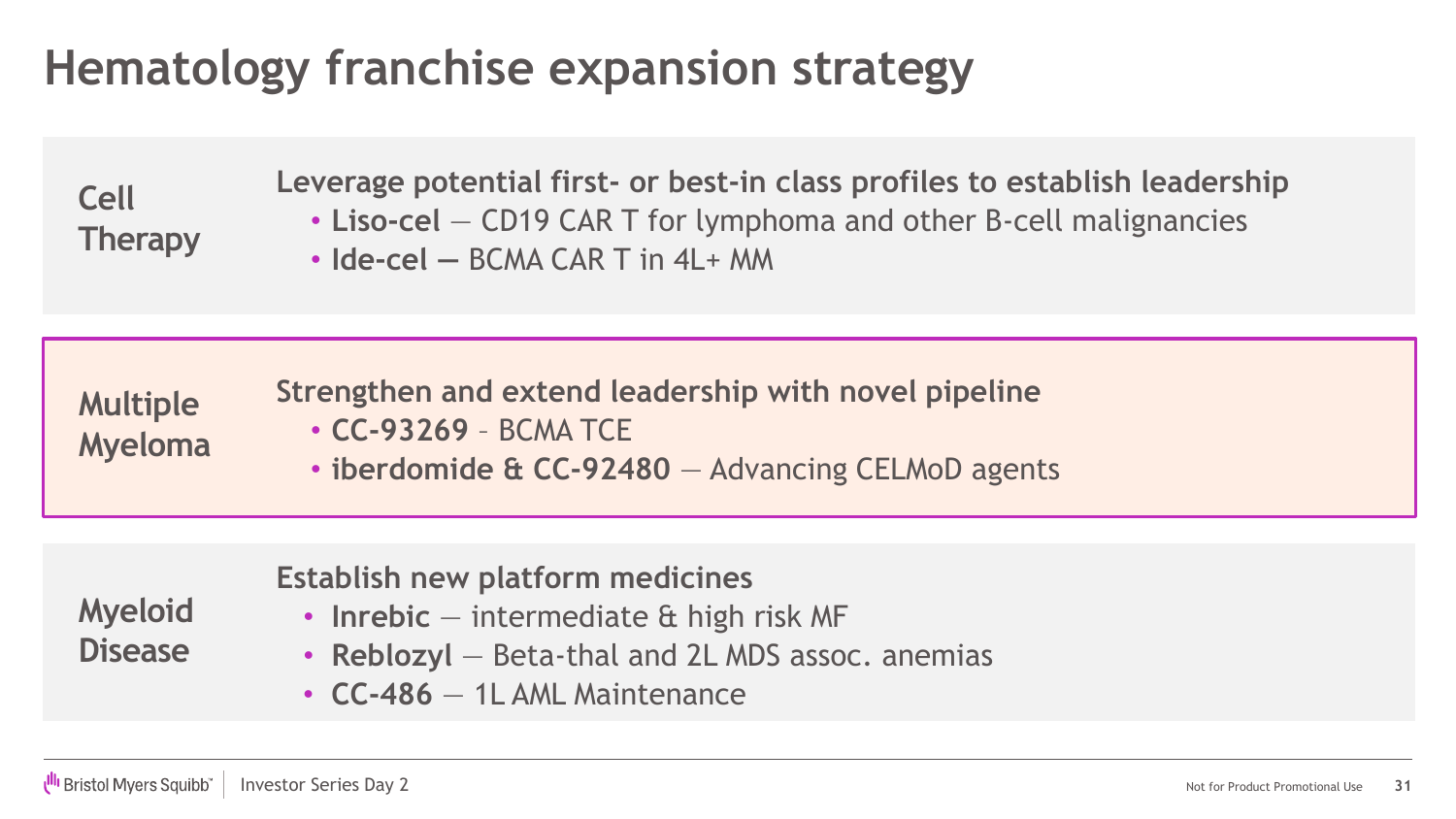### **Hematology franchise expansion strategy**

**Cell Therapy** **Leverage potential first- or best-in class profiles to establish leadership**

- **Liso-cel** CD19 CAR T for lymphoma and other B-cell malignancies
- **Ide-cel —** BCMA CAR T in 4L+ MM

| <b>Multiple</b><br>Myeloma | Strengthen and extend leadership with novel pipeline |
|----------------------------|------------------------------------------------------|
|                            | $\cdot$ CC-93269 - BCMA TCE                          |
|                            | • iberdomide & CC-92480 - Advancing CELMoD agents    |

|                                  | Establish new platform medicines                 |
|----------------------------------|--------------------------------------------------|
| <b>Myeloid</b><br><b>Disease</b> | $\cdot$ Inrebic – intermediate & high risk MF    |
|                                  | • Reblozyl – Beta-thal and 2L MDS assoc. anemias |
|                                  | $\cdot$ CC-486 $-$ 1L AML Maintenance            |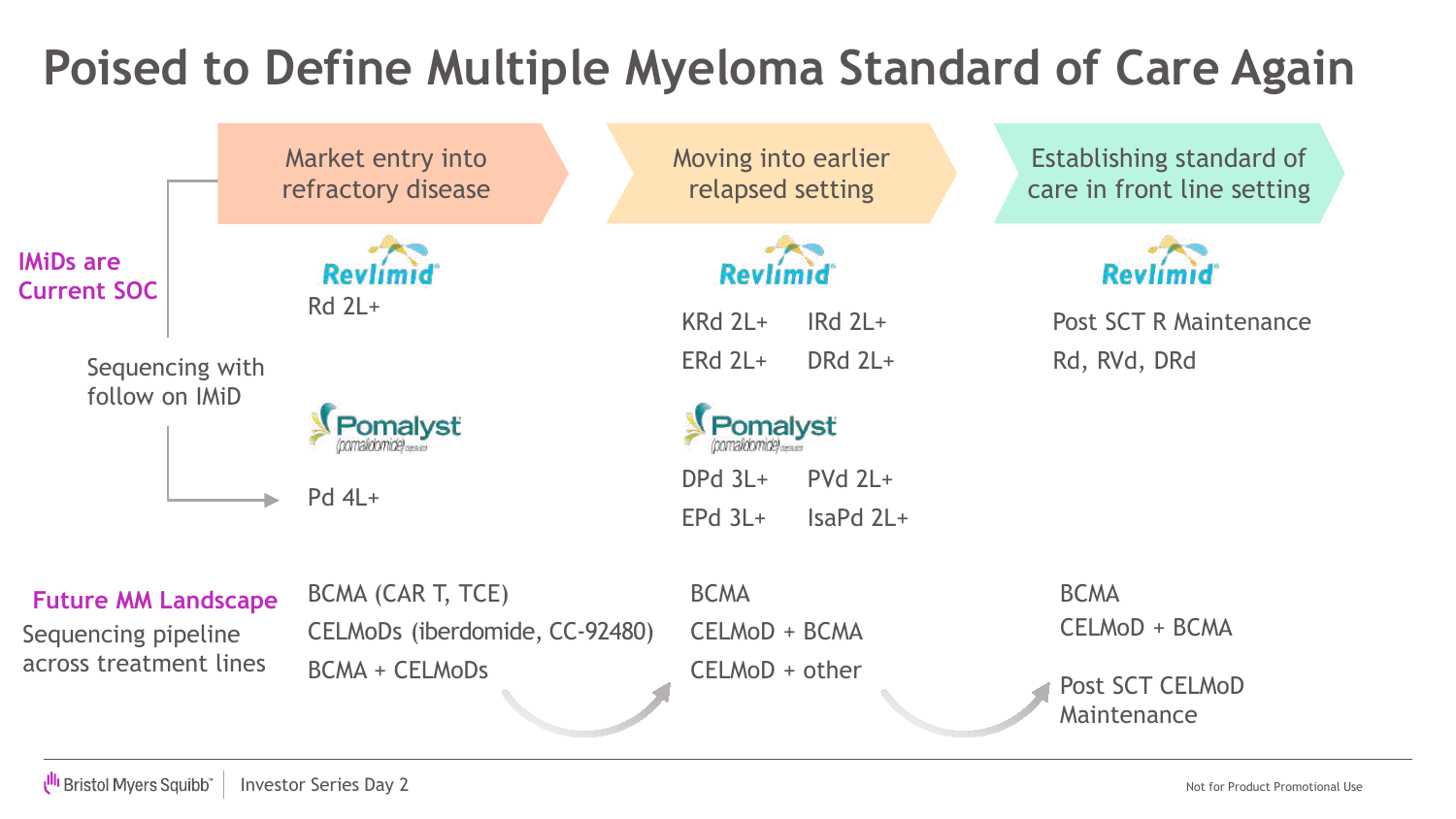### **Poised to Define Multiple Myeloma Standard of Care Again**

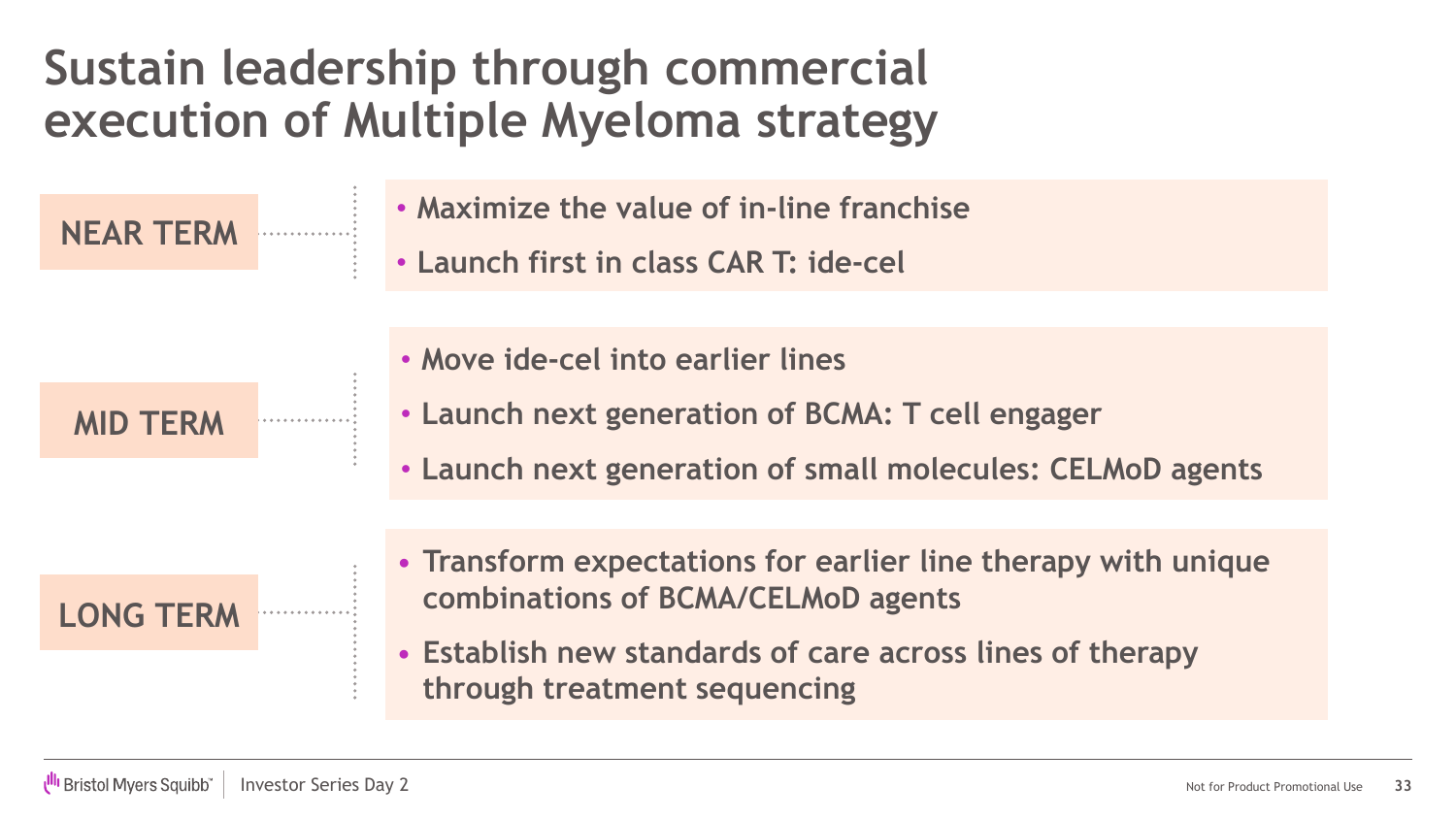### **Sustain leadership through commercial execution of Multiple Myeloma strategy**

**NEAR TERM**

- **Maximize the value of in-line franchise**
- **Launch first in class CAR T: ide-cel**

#### **MID TERM**

- **Move ide-cel into earlier lines**
- **Launch next generation of BCMA: T cell engager**
- **Launch next generation of small molecules: CELMoD agents**

**LONG TERM**

- **Transform expectations for earlier line therapy with unique combinations of BCMA/CELMoD agents**
- **Establish new standards of care across lines of therapy through treatment sequencing**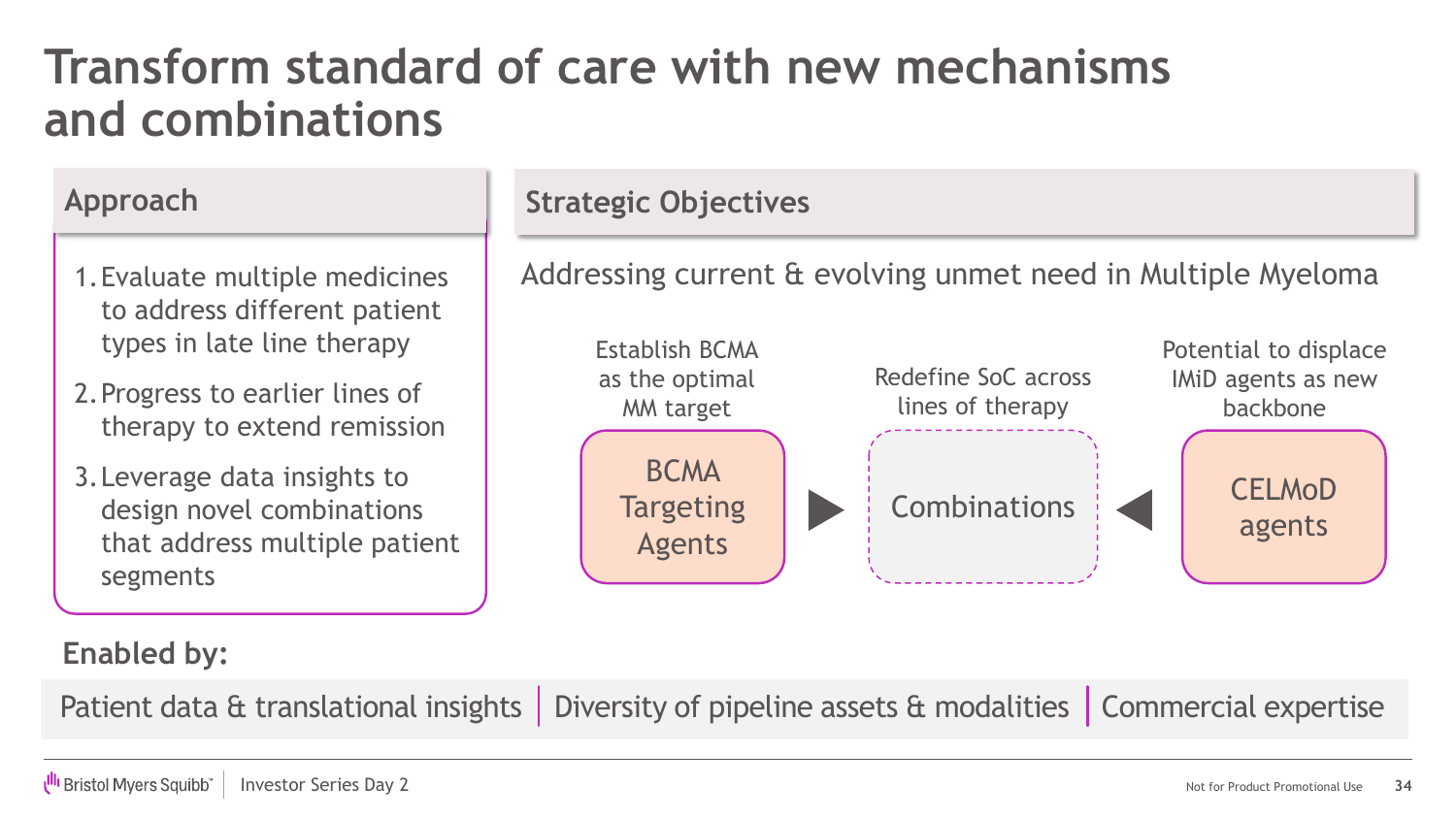### **Transform standard of care with new mechanisms and combinations**

- 1.Evaluate multiple medicines to address different patient types in late line therapy
- 2.Progress to earlier lines of therapy to extend remission
- 3.Leverage data insights to design novel combinations that address multiple patient segments

#### Approach Strategic Objectives

Addressing current & evolving unmet need in Multiple Myeloma



#### **Enabled by:**

Patient data & translational insights | Diversity of pipeline assets & modalities | Commercial expertise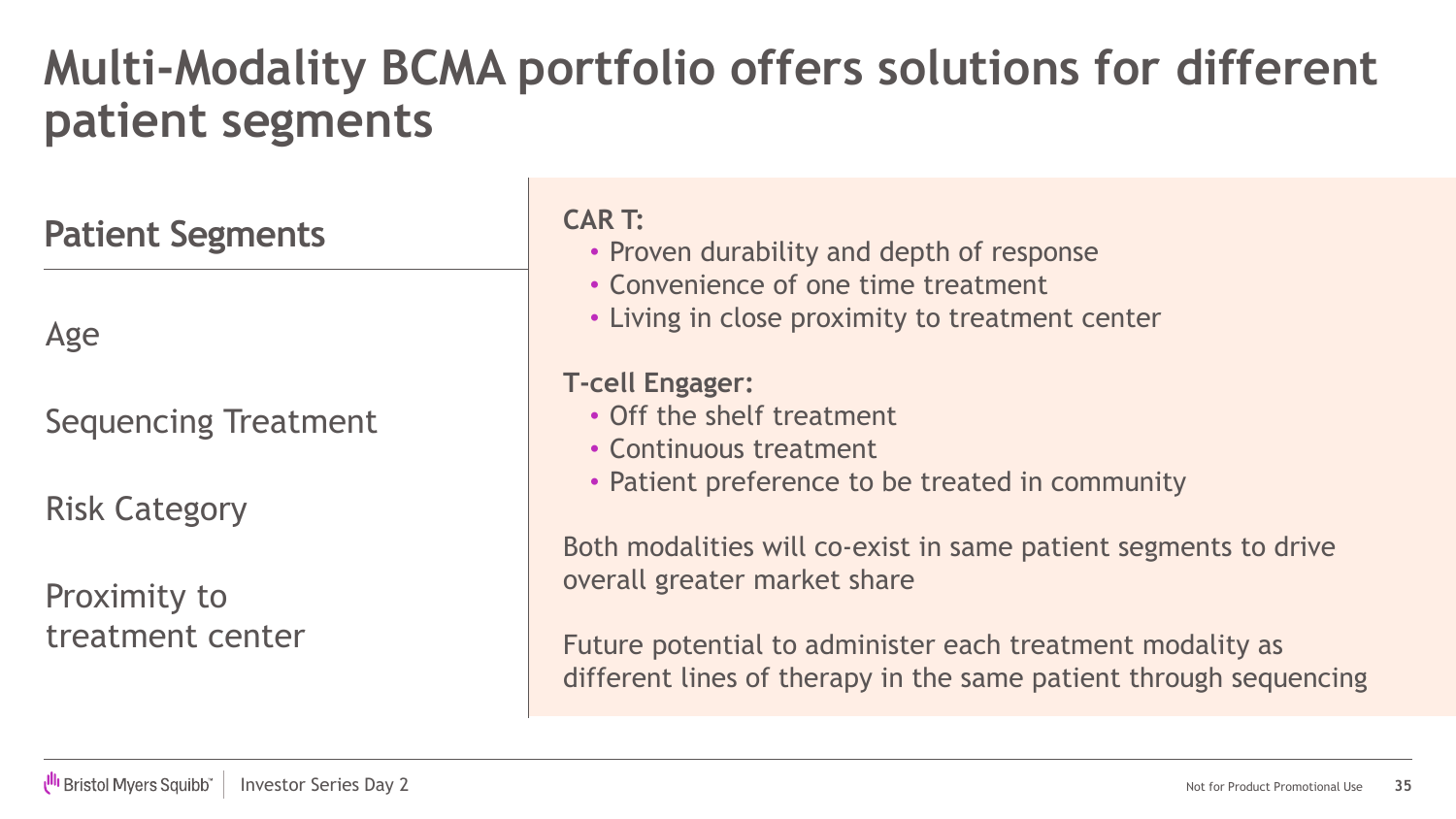### **Multi-Modality BCMA portfolio offers solutions for different patient segments**

**Patient Segments**

Age

### Sequencing Treatment

Risk Category

Proximity to treatment center

#### **CAR T:**

- Proven durability and depth of response
- Convenience of one time treatment
- Living in close proximity to treatment center

#### **T-cell Engager:**

- Off the shelf treatment
- Continuous treatment
- Patient preference to be treated in community

Both modalities will co-exist in same patient segments to drive overall greater market share

Future potential to administer each treatment modality as different lines of therapy in the same patient through sequencing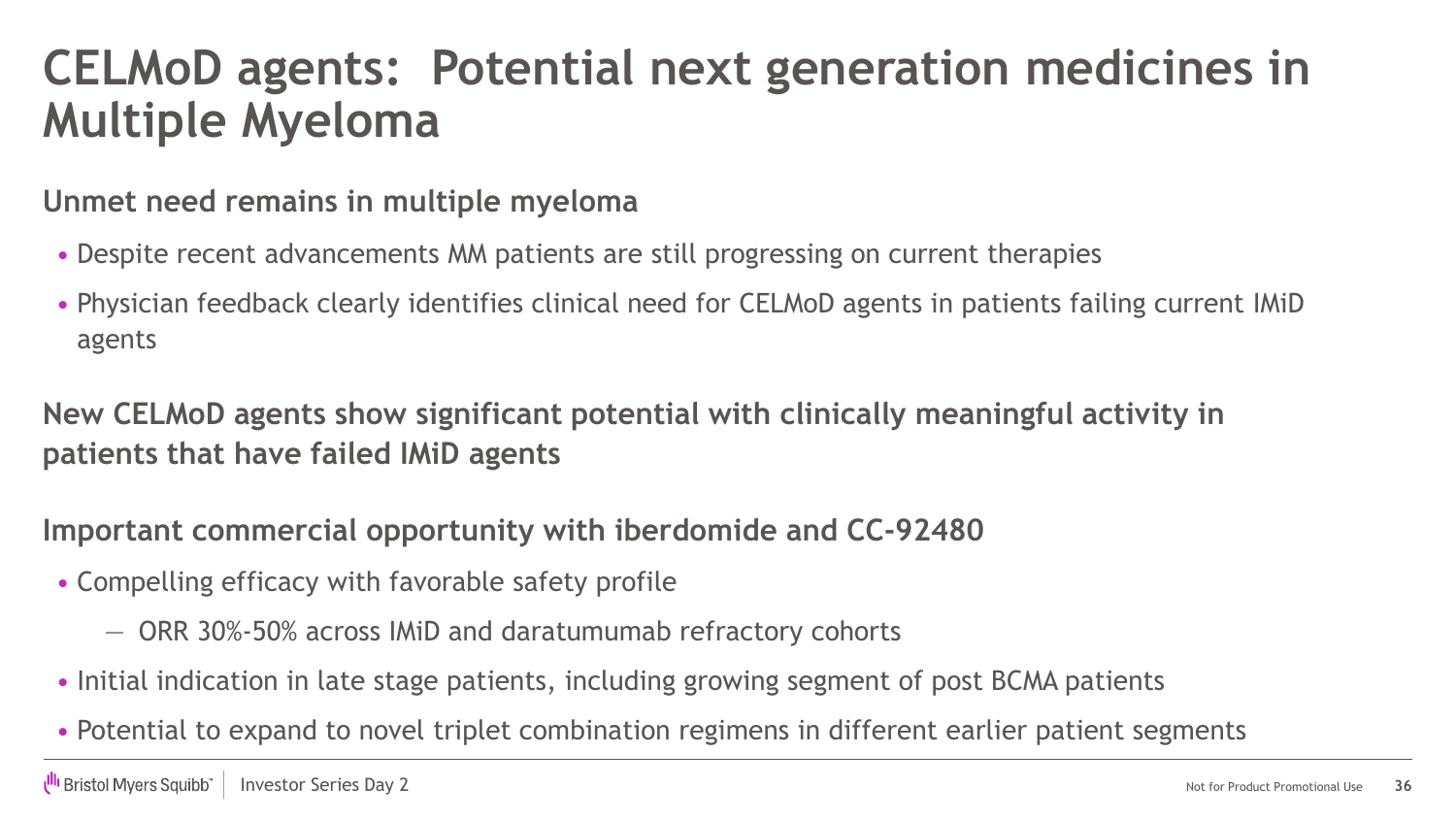### **CELMoD agents: Potential next generation medicines in Multiple Myeloma**

#### **Unmet need remains in multiple myeloma**

- Despite recent advancements MM patients are still progressing on current therapies
- Physician feedback clearly identifies clinical need for CELMoD agents in patients failing current IMiD agents

**New CELMoD agents show significant potential with clinically meaningful activity in patients that have failed IMiD agents**

#### **Important commercial opportunity with iberdomide and CC-92480**

- Compelling efficacy with favorable safety profile
	- ORR 30%-50% across IMiD and daratumumab refractory cohorts
- Initial indication in late stage patients, including growing segment of post BCMA patients
- Potential to expand to novel triplet combination regimens in different earlier patient segments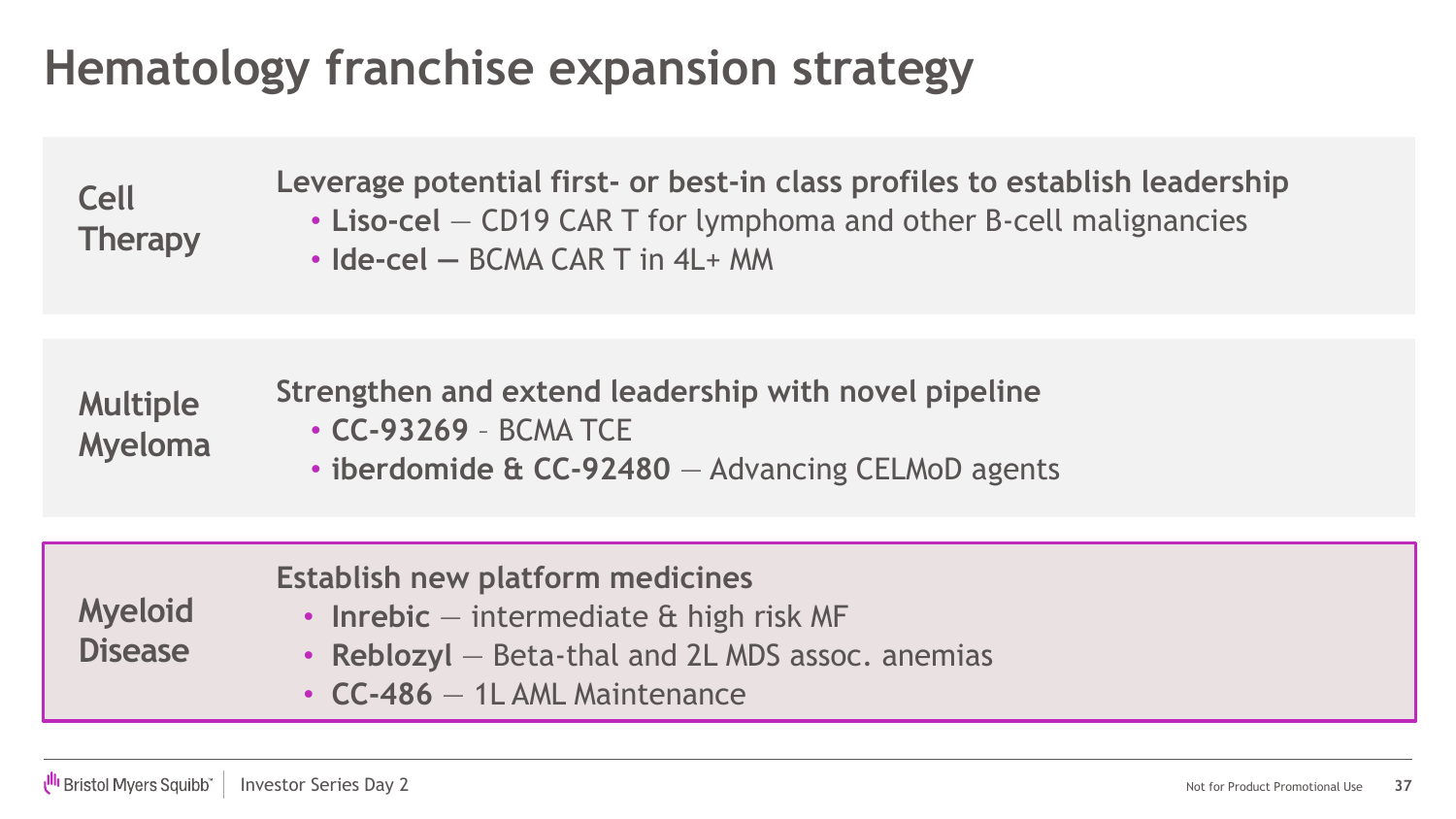### **Hematology franchise expansion strategy**

**Cell Therapy** **Leverage potential first- or best-in class profiles to establish leadership**

- **Liso-cel** CD19 CAR T for lymphoma and other B-cell malignancies
- **Ide-cel —** BCMA CAR T in 4L+ MM

| <b>Multiple</b> | Strengthen and extend leadership with novel pipeline |
|-----------------|------------------------------------------------------|
| <b>Myeloma</b>  | $\cdot$ CC-93269 - BCMA TCE                          |
|                 | • iberdomide & CC-92480 - Advancing CELMoD agents    |

| <b>Myeloid</b><br><b>Disease</b> | Establish new platform medicines<br>• Inrebic $-$ intermediate $\alpha$ high risk MF<br>• Reblozyl – Beta-thal and 2L MDS assoc. anemias<br>$\cdot$ CC-486 $-$ 1L AML Maintenance |
|----------------------------------|-----------------------------------------------------------------------------------------------------------------------------------------------------------------------------------|
|----------------------------------|-----------------------------------------------------------------------------------------------------------------------------------------------------------------------------------|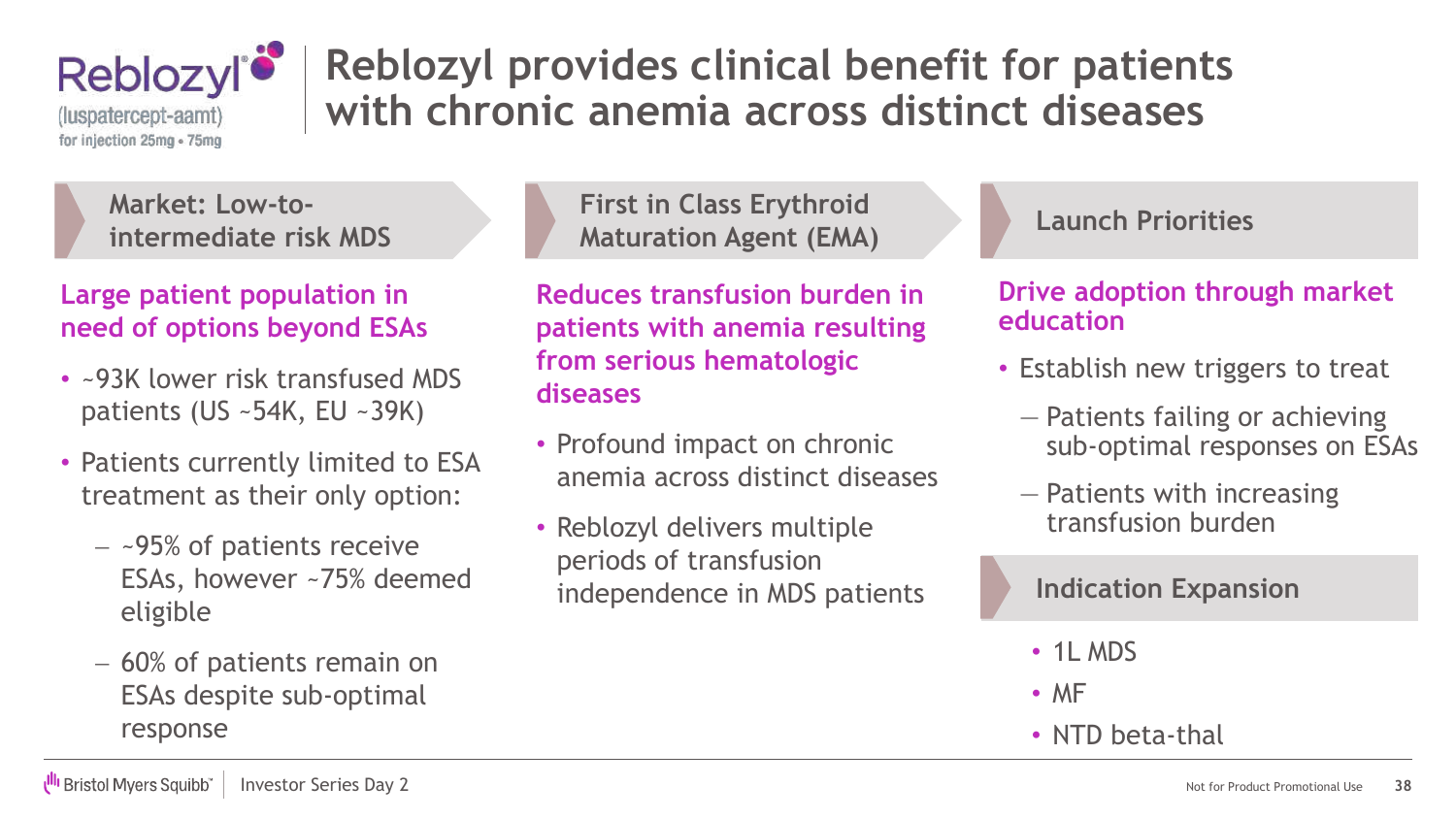

### **Reblozyl provides clinical benefit for patients with chronic anemia across distinct diseases**

**Market: Low-tointermediate risk MDS**

#### **Large patient population in need of options beyond ESAs**

- ~93K lower risk transfused MDS patients (US ~54K, EU ~39K)
- Patients currently limited to ESA treatment as their only option:
	- − ~95% of patients receive ESAs, however ~75% deemed eligible
	- − 60% of patients remain on ESAs despite sub-optimal response

**First in Class Erythroid Maturation Agent (EMA)**

**Reduces transfusion burden in patients with anemia resulting from serious hematologic diseases** 

- Profound impact on chronic anemia across distinct diseases
- Reblozyl delivers multiple periods of transfusion independence in MDS patients

#### **Launch Priorities**

#### **Drive adoption through market education**

- Establish new triggers to treat
	- ― Patients failing or achieving sub-optimal responses on ESAs
	- ― Patients with increasing transfusion burden

#### **Indication Expansion**

- 1L MDS
- MF
- NTD beta-thal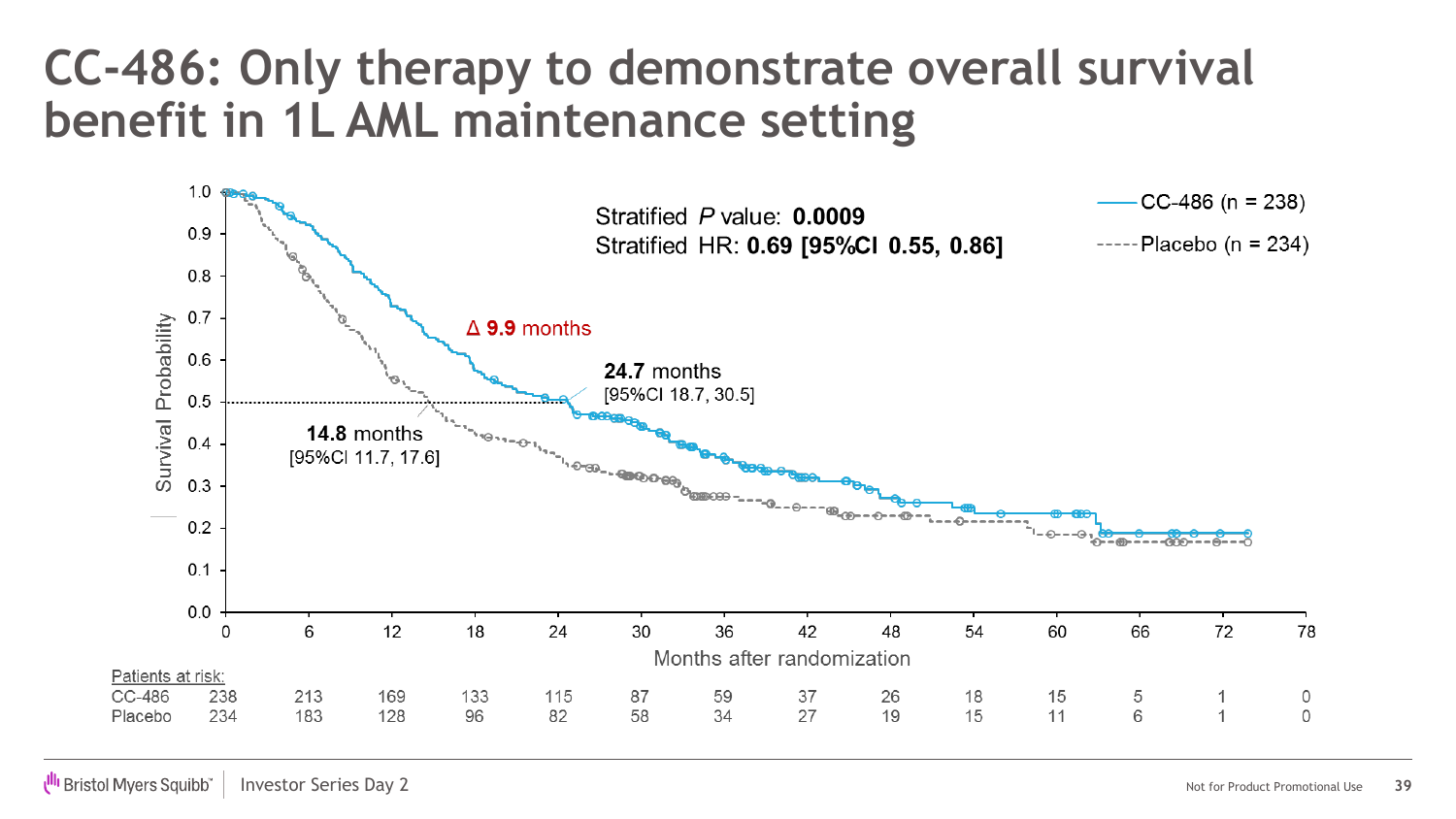### **CC-486: Only therapy to demonstrate overall survival benefit in 1L AML maintenance setting**

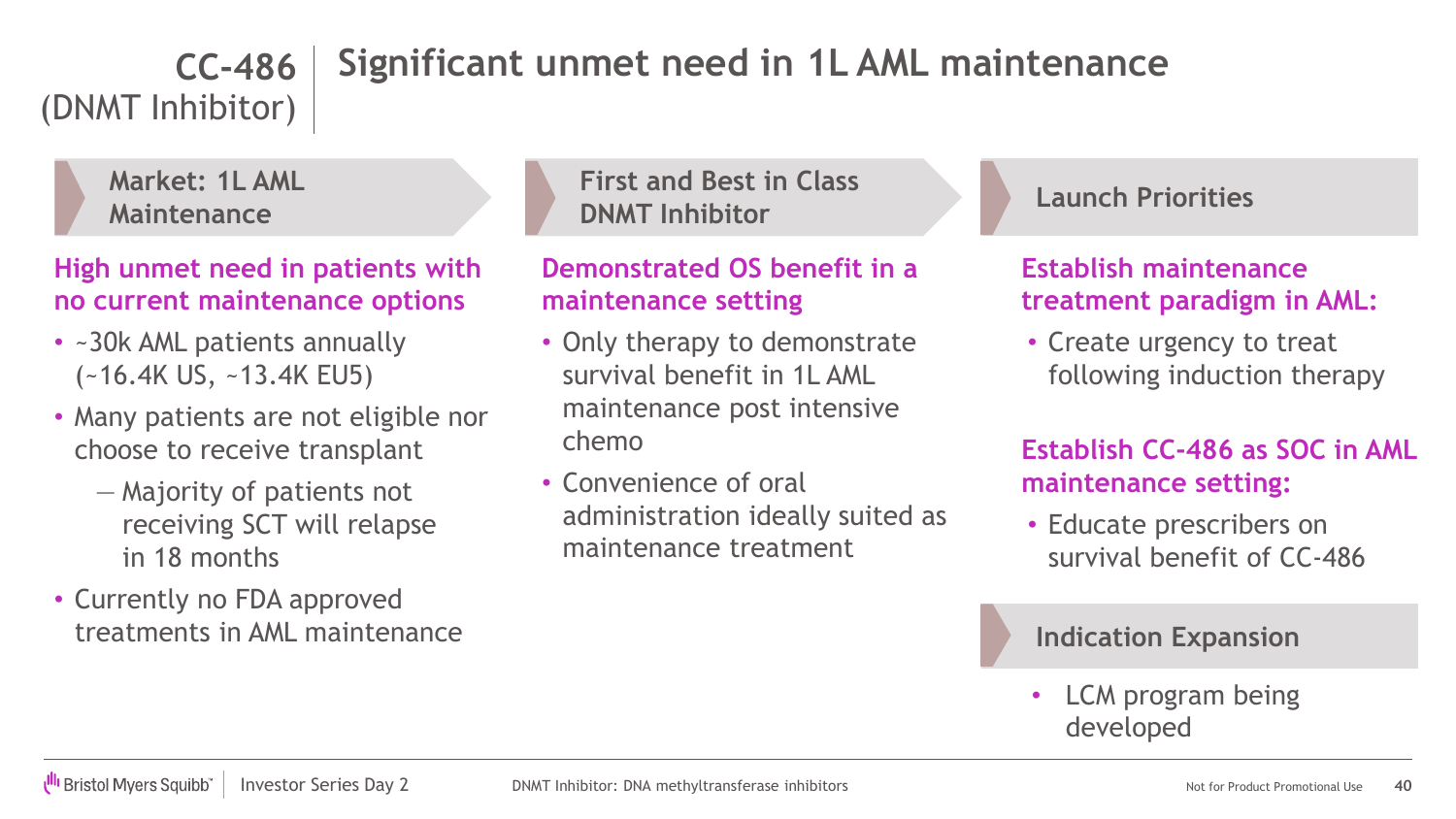#### **Significant unmet need in 1L AML maintenance CC-486**

(DNMT Inhibitor)



**High unmet need in patients with no current maintenance options**

- ~30k AML patients annually (~16.4K US, ~13.4K EU5)
- Many patients are not eligible nor choose to receive transplant
	- ― Majority of patients not receiving SCT will relapse in 18 months
- Currently no FDA approved treatments in AML maintenance

**First and Best in Class DNMT Inhibitor**

#### **Demonstrated OS benefit in a maintenance setting**

- Only therapy to demonstrate survival benefit in 1L AML maintenance post intensive chemo
- Convenience of oral administration ideally suited as maintenance treatment

**Launch Priorities**

**Establish maintenance treatment paradigm in AML:**

• Create urgency to treat following induction therapy

#### **Establish CC-486 as SOC in AML maintenance setting:**

• Educate prescribers on survival benefit of CC-486

#### **Indication Expansion**

• LCM program being developed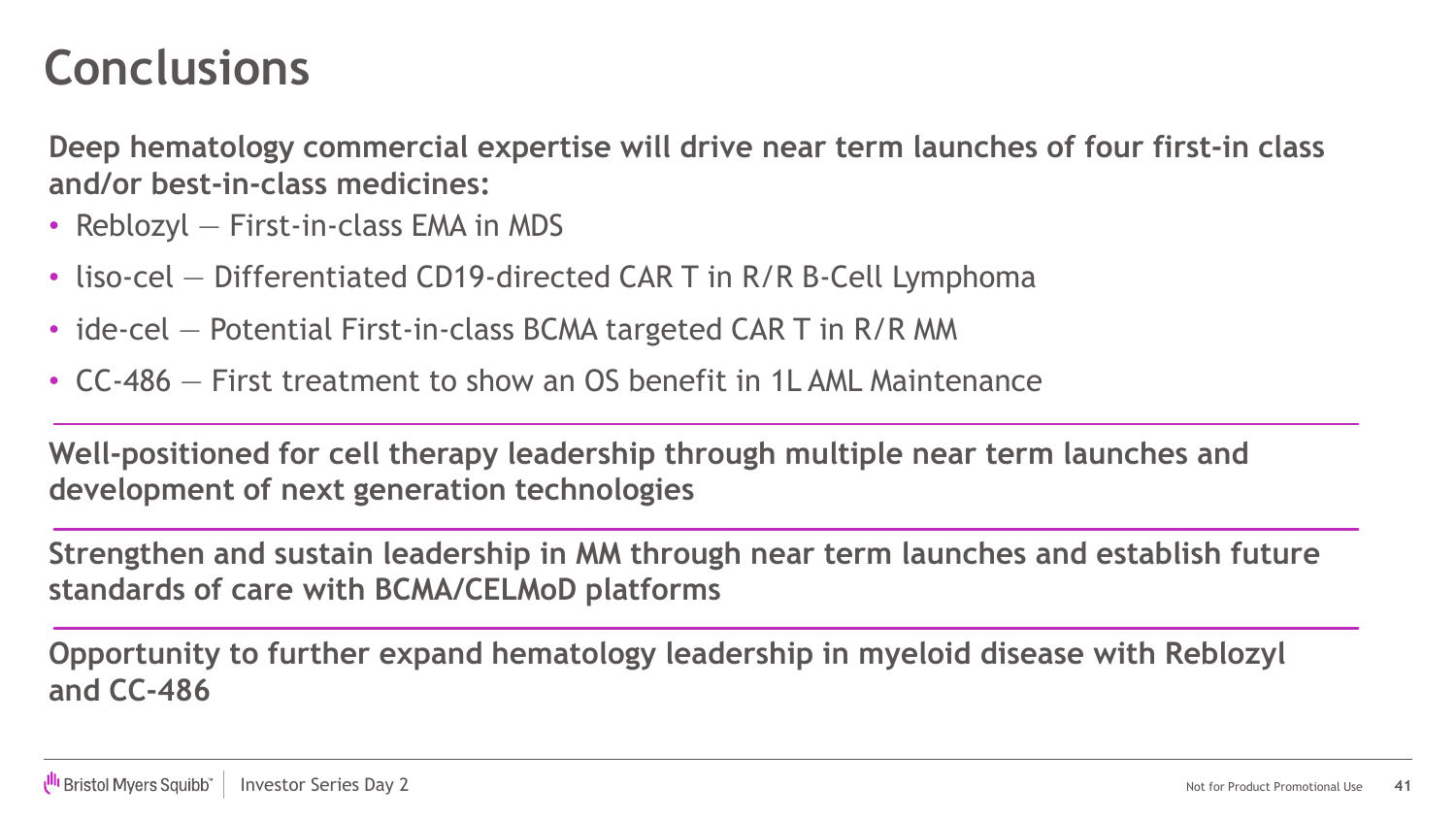### **Conclusions**

**Deep hematology commercial expertise will drive near term launches of four first-in class and/or best-in-class medicines:**

- Reblozyl First-in-class EMA in MDS
- liso-cel Differentiated CD19-directed CAR T in R/R B-Cell Lymphoma
- ide-cel Potential First-in-class BCMA targeted CAR T in R/R MM
- CC-486 First treatment to show an OS benefit in 1L AML Maintenance

**Well-positioned for cell therapy leadership through multiple near term launches and development of next generation technologies**

**Strengthen and sustain leadership in MM through near term launches and establish future standards of care with BCMA/CELMoD platforms**

**Opportunity to further expand hematology leadership in myeloid disease with Reblozyl and CC-486**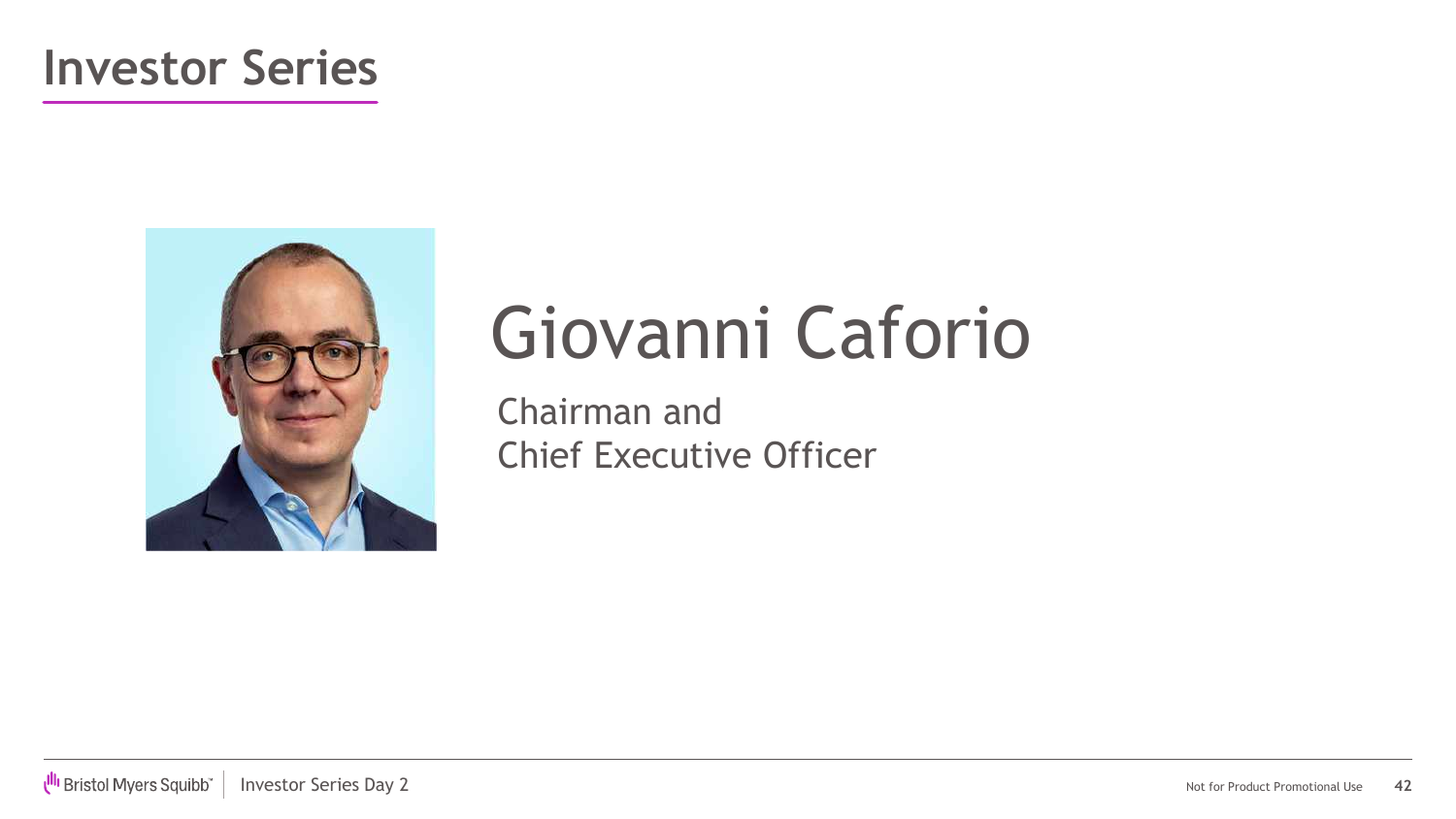### **Investor Series**



# Giovanni Caforio

Chairman and Chief Executive Officer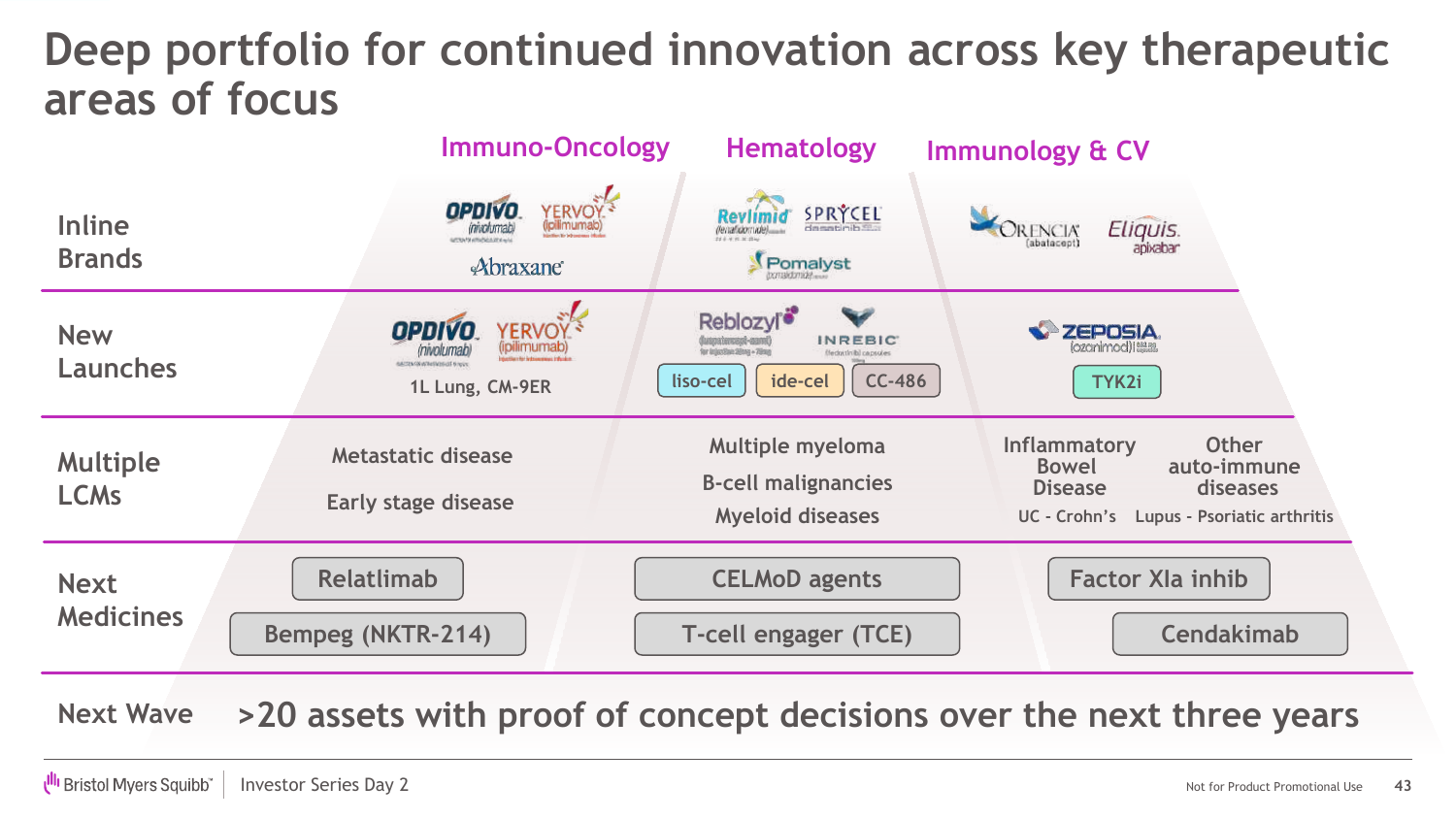### **Deep portfolio for continued innovation across key therapeutic areas of focus**

|                                 | <b>Immuno-Oncology</b>                                                                              | <b>Hematology</b>                                                                                                                   | <b>Immunology &amp; CV</b>                                                                                                                          |
|---------------------------------|-----------------------------------------------------------------------------------------------------|-------------------------------------------------------------------------------------------------------------------------------------|-----------------------------------------------------------------------------------------------------------------------------------------------------|
| <b>Inline</b><br><b>Brands</b>  | YERVOY <sup>3</sup><br><b>OPDIVO</b><br><i>involumabl</i><br><b>PERSON ATTACHMENTAL</b><br>Abraxane | <b>SPRÝCEL</b><br>Pomalyst                                                                                                          | Eliquis.<br>RENCIA<br>(abatacept)                                                                                                                   |
| <b>New</b><br><b>Launches</b>   | <b>OPDIVO</b><br>YERVOY<br>AUTOS GRAPA (MOSCIE SINCE)<br>1L Lung, CM-9ER                            | Reblozyl <sup>®</sup><br><b>INREBIC</b><br>for IndexStan 20mg - 70mg<br>federinibi capsales<br><b>CC-486</b><br>ide-cel<br>liso-cel | <b>ZEPOSIA</b><br>lozanimod) i esam<br>TYK2i                                                                                                        |
| <b>Multiple</b><br><b>LCMs</b>  | Metastatic disease<br><b>Early stage disease</b>                                                    | <b>Multiple myeloma</b><br><b>B-cell malignancies</b><br><b>Myeloid diseases</b>                                                    | <b>Other</b><br><b>Inflammatory</b><br>auto-immune<br><b>Bowel</b><br><b>diseases</b><br><b>Disease</b><br>UC - Crohn's Lupus - Psoriatic arthritis |
| <b>Next</b><br><b>Medicines</b> | <b>Relatlimab</b><br><b>Bempeg (NKTR-214)</b>                                                       | <b>CELMoD agents</b><br><b>T-cell engager (TCE)</b>                                                                                 | <b>Factor XIa inhib</b><br><b>Cendakimab</b>                                                                                                        |

**Next Wave >20 assets with proof of concept decisions over the next three years**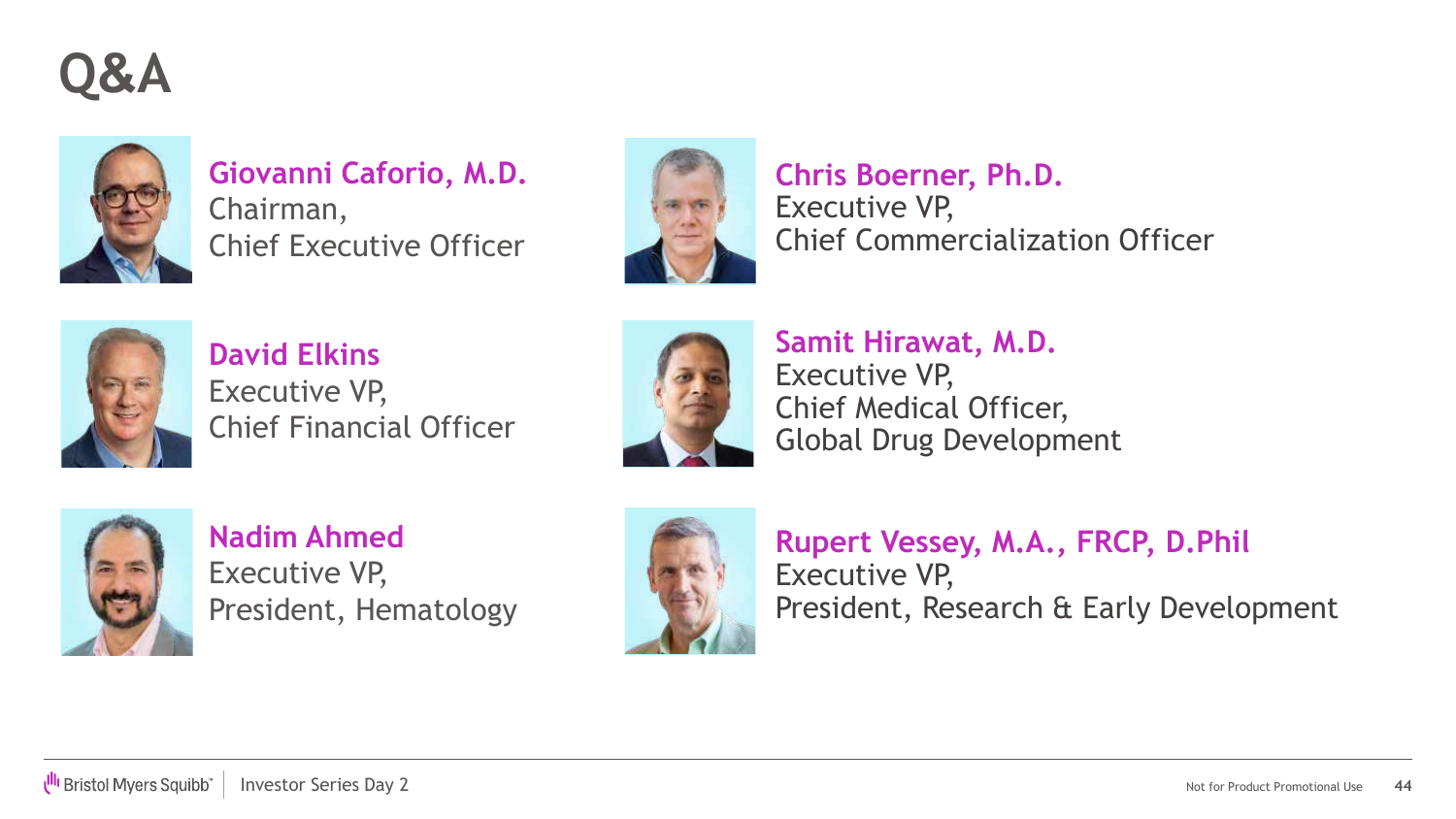**Q&A**



### **Giovanni Caforio, M.D.**

Chairman, Chief Executive Officer



**Chris Boerner, Ph.D.** Executive VP, Chief Commercialization Officer



**David Elkins** Executive VP, Chief Financial Officer



**Samit Hirawat, M.D.** Executive VP, Chief Medical Officer, Global Drug Development



**Nadim Ahmed** Executive VP, President, Hematology



**Rupert Vessey, M.A., FRCP, D.Phil** Executive VP, President, Research & Early Development